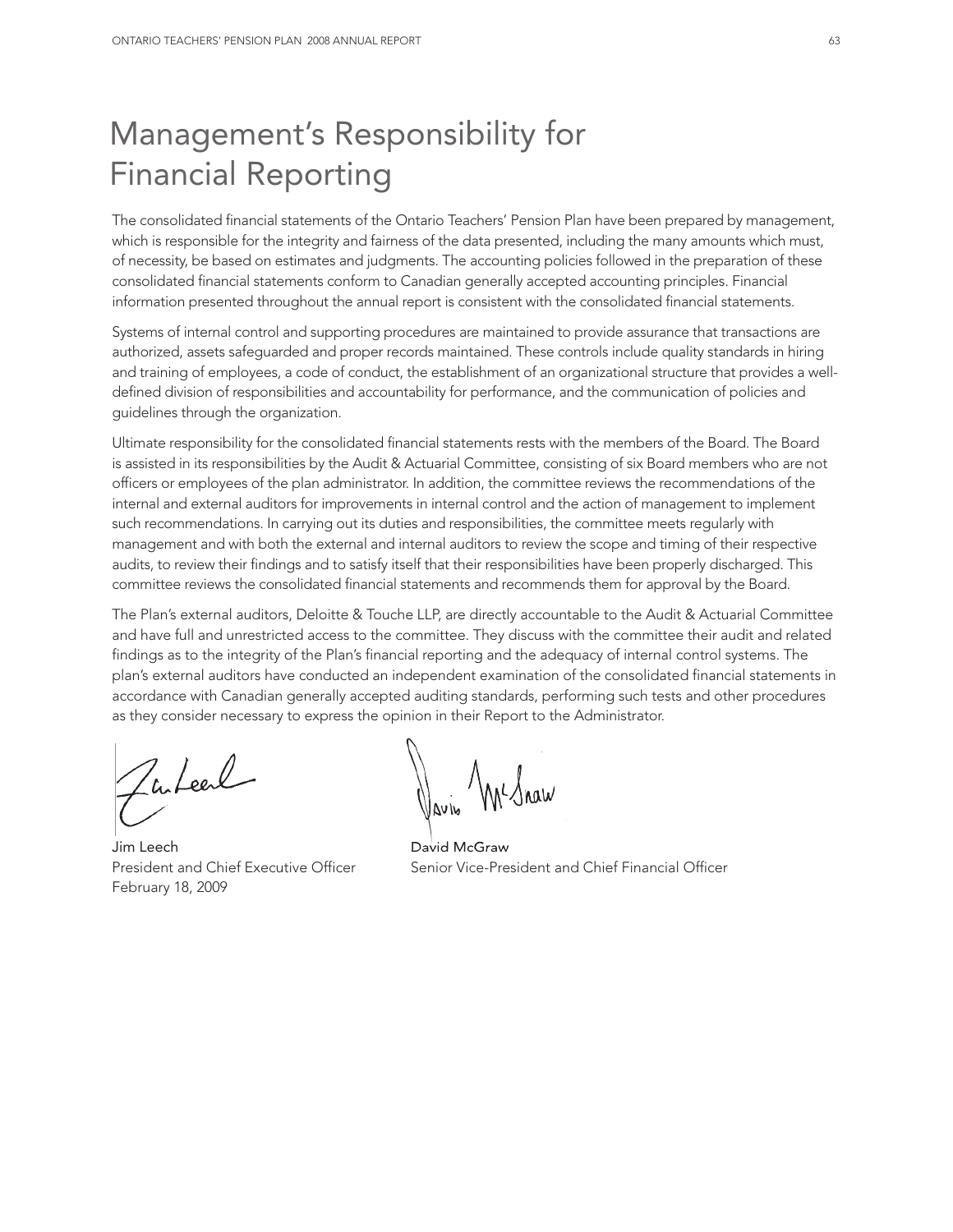# Management's Responsibility for Financial Reporting

The consolidated financial statements of the Ontario Teachers' Pension Plan have been prepared by management, which is responsible for the integrity and fairness of the data presented, including the many amounts which must, of necessity, be based on estimates and judgments. The accounting policies followed in the preparation of these consolidated financial statements conform to Canadian generally accepted accounting principles. Financial information presented throughout the annual report is consistent with the consolidated financial statements.

Systems of internal control and supporting procedures are maintained to provide assurance that transactions are authorized, assets safeguarded and proper records maintained. These controls include quality standards in hiring and training of employees, a code of conduct, the establishment of an organizational structure that provides a welldefined division of responsibilities and accountability for performance, and the communication of policies and guidelines through the organization.

Ultimate responsibility for the consolidated financial statements rests with the members of the Board. The Board is assisted in its responsibilities by the Audit & Actuarial Committee, consisting of six Board members who are not officers or employees of the plan administrator. In addition, the committee reviews the recommendations of the internal and external auditors for improvements in internal control and the action of management to implement such recommendations. In carrying out its duties and responsibilities, the committee meets regularly with management and with both the external and internal auditors to review the scope and timing of their respective audits, to review their findings and to satisfy itself that their responsibilities have been properly discharged. This committee reviews the consolidated financial statements and recommends them for approval by the Board.

The Plan's external auditors, Deloitte & Touche LLP, are directly accountable to the Audit & Actuarial Committee and have full and unrestricted access to the committee. They discuss with the committee their audit and related findings as to the integrity of the Plan's financial reporting and the adequacy of internal control systems. The plan's external auditors have conducted an independent examination of the consolidated financial statements in accordance with Canadian generally accepted auditing standards, performing such tests and other procedures as they consider necessary to express the opinion in their Report to the Administrator.

futeel

Jim Leech David McGraw February 18, 2009

 $\mathcal{N}$   $\Lambda$ 

President and Chief Executive Officer Senior Vice-President and Chief Financial Officer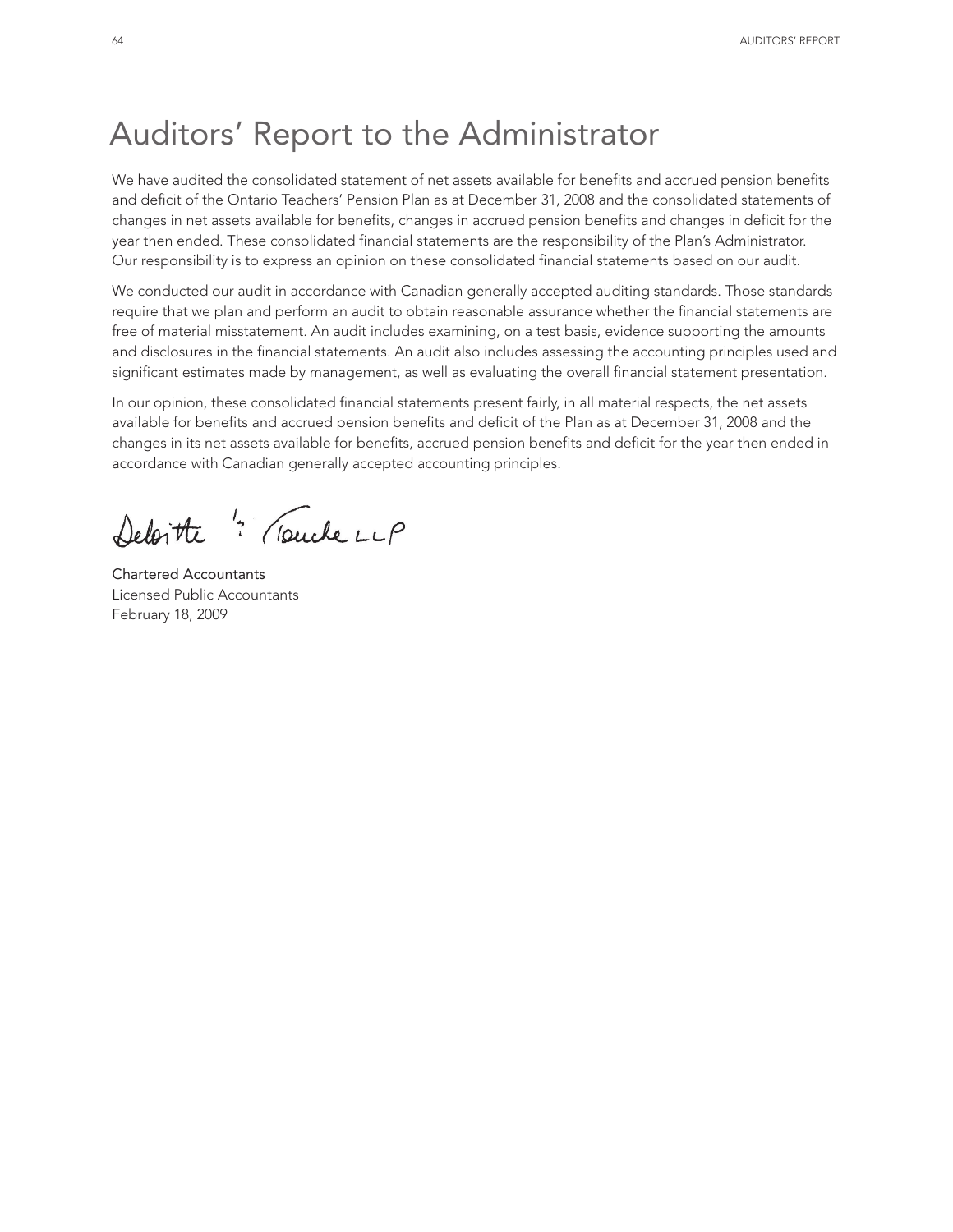# Auditors' Report to the Administrator

We have audited the consolidated statement of net assets available for benefits and accrued pension benefits and deficit of the Ontario Teachers' Pension Plan as at December 31, 2008 and the consolidated statements of changes in net assets available for benefits, changes in accrued pension benefits and changes in deficit for the year then ended. These consolidated financial statements are the responsibility of the Plan's Administrator. Our responsibility is to express an opinion on these consolidated financial statements based on our audit.

We conducted our audit in accordance with Canadian generally accepted auditing standards. Those standards require that we plan and perform an audit to obtain reasonable assurance whether the financial statements are free of material misstatement. An audit includes examining, on a test basis, evidence supporting the amounts and disclosures in the financial statements. An audit also includes assessing the accounting principles used and significant estimates made by management, as well as evaluating the overall financial statement presentation.

In our opinion, these consolidated financial statements present fairly, in all material respects, the net assets available for benefits and accrued pension benefits and deficit of the Plan as at December 31, 2008 and the changes in its net assets available for benefits, accrued pension benefits and deficit for the year then ended in accordance with Canadian generally accepted accounting principles.

Deloitte " Touche LLP

Chartered Accountants Licensed Public Accountants February 18, 2009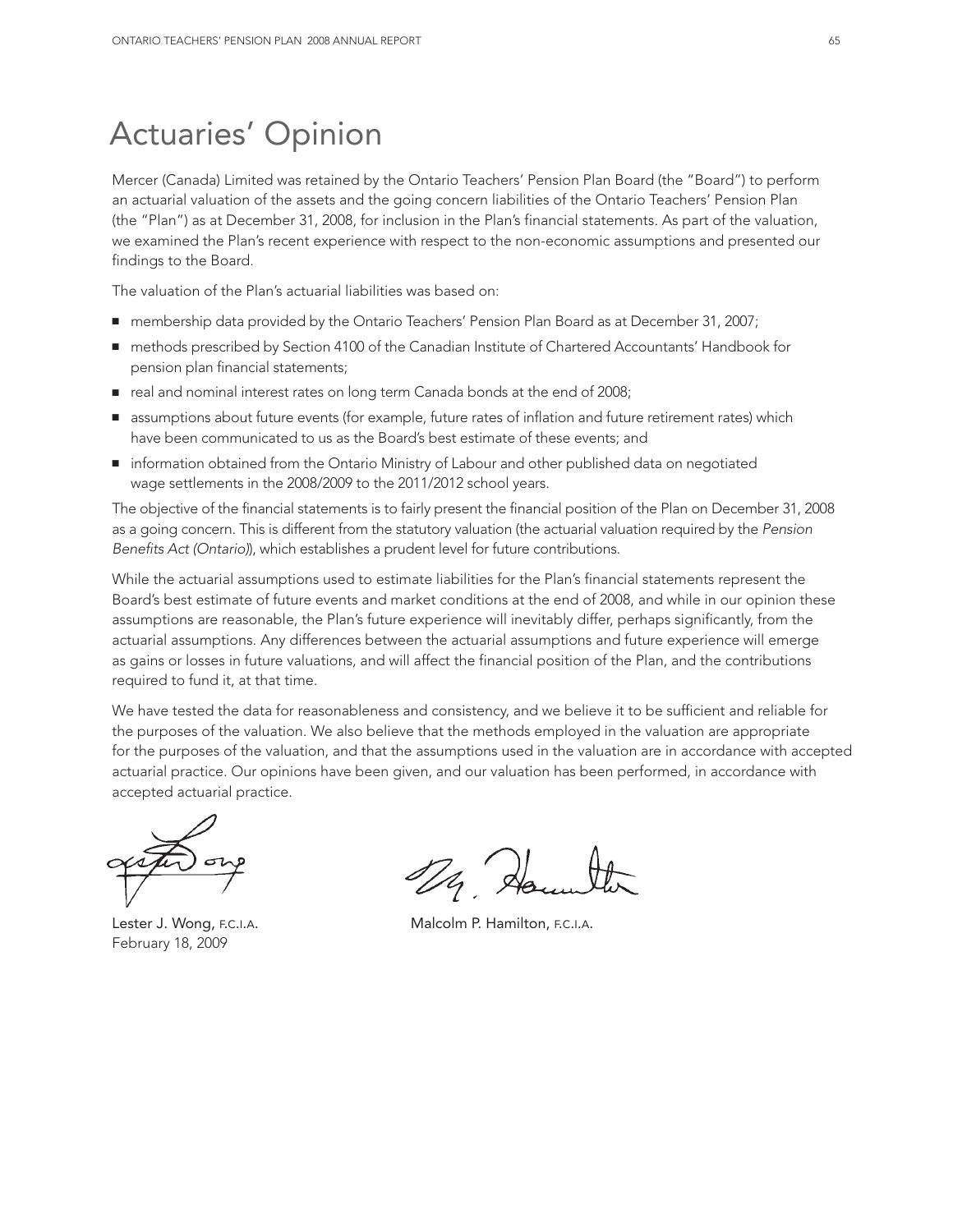# Actuaries' Opinion

Mercer (Canada) Limited was retained by the Ontario Teachers' Pension Plan Board (the "Board") to perform an actuarial valuation of the assets and the going concern liabilities of the Ontario Teachers' Pension Plan (the "Plan") as at December 31, 2008, for inclusion in the Plan's financial statements. As part of the valuation, we examined the Plan's recent experience with respect to the non-economic assumptions and presented our findings to the Board.

The valuation of the Plan's actuarial liabilities was based on:

- membership data provided by the Ontario Teachers' Pension Plan Board as at December 31, 2007;
- methods prescribed by Section 4100 of the Canadian Institute of Chartered Accountants' Handbook for pension plan financial statements;
- real and nominal interest rates on long term Canada bonds at the end of 2008;
- assumptions about future events (for example, future rates of inflation and future retirement rates) which have been communicated to us as the Board's best estimate of these events; and
- information obtained from the Ontario Ministry of Labour and other published data on negotiated wage settlements in the 2008/2009 to the 2011/2012 school years.

The objective of the financial statements is to fairly present the financial position of the Plan on December 31, 2008 as a going concern. This is different from the statutory valuation (the actuarial valuation required by the *Pension Benefits Act (Ontario)*), which establishes a prudent level for future contributions.

While the actuarial assumptions used to estimate liabilities for the Plan's financial statements represent the Board's best estimate of future events and market conditions at the end of 2008, and while in our opinion these assumptions are reasonable, the Plan's future experience will inevitably differ, perhaps significantly, from the actuarial assumptions. Any differences between the actuarial assumptions and future experience will emerge as gains or losses in future valuations, and will affect the financial position of the Plan, and the contributions required to fund it, at that time.

We have tested the data for reasonableness and consistency, and we believe it to be sufficient and reliable for the purposes of the valuation. We also believe that the methods employed in the valuation are appropriate for the purposes of the valuation, and that the assumptions used in the valuation are in accordance with accepted actuarial practice. Our opinions have been given, and our valuation has been performed, in accordance with accepted actuarial practice.

February 18, 2009

1/4 40

Lester J. Wong, F.C.I.A. **Malcolm P. Hamilton, F.C.I.A.**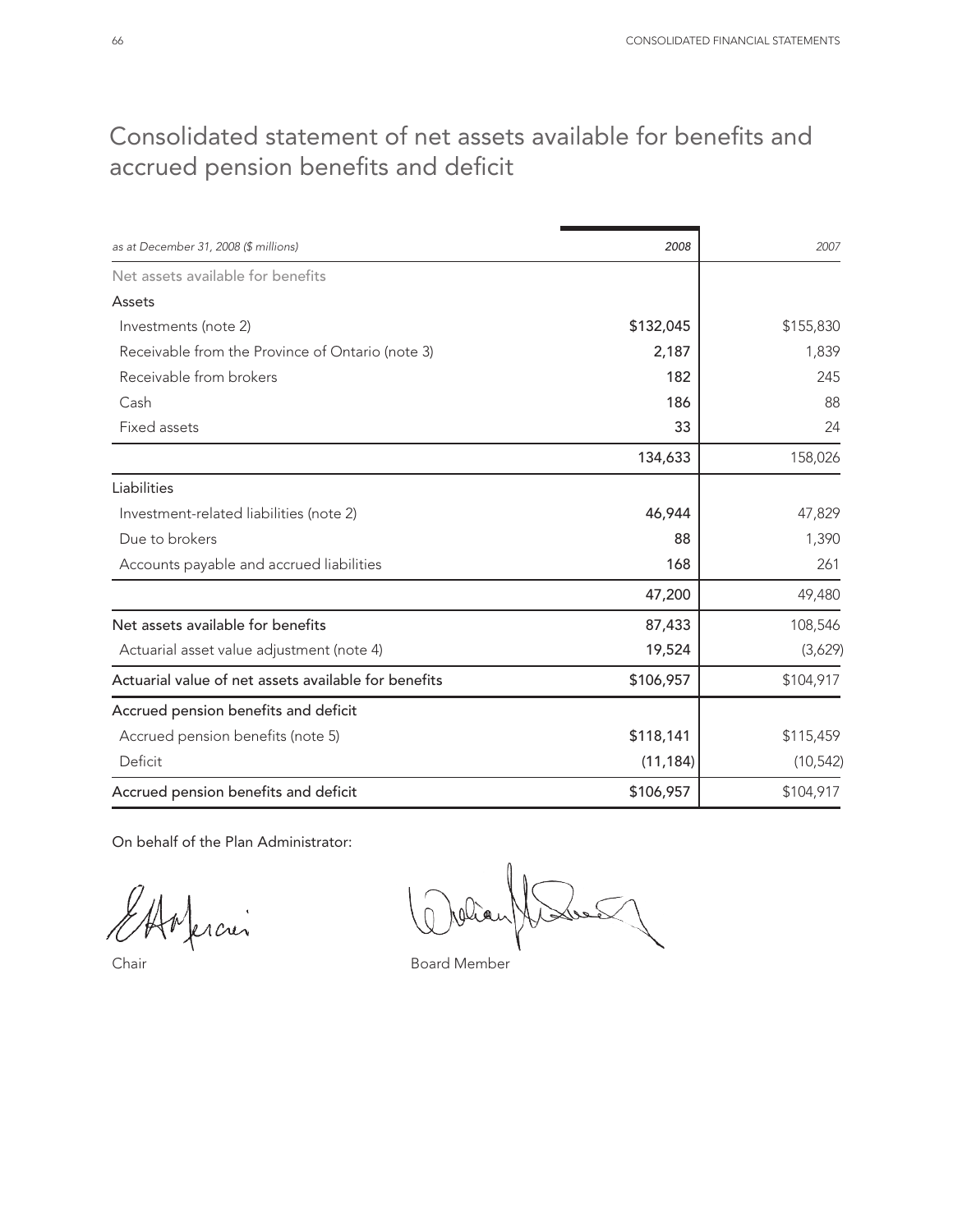## Consolidated statement of net assets available for benefits and accrued pension benefits and deficit

| as at December 31, 2008 (\$ millions)                | 2008      | 2007      |
|------------------------------------------------------|-----------|-----------|
| Net assets available for benefits                    |           |           |
| Assets                                               |           |           |
| Investments (note 2)                                 | \$132,045 | \$155,830 |
| Receivable from the Province of Ontario (note 3)     | 2,187     | 1,839     |
| Receivable from brokers                              | 182       | 245       |
| Cash                                                 | 186       | 88        |
| Fixed assets                                         | 33        | 24        |
|                                                      | 134,633   | 158,026   |
| Liabilities                                          |           |           |
| Investment-related liabilities (note 2)              | 46,944    | 47,829    |
| Due to brokers                                       | 88        | 1,390     |
| Accounts payable and accrued liabilities             | 168       | 261       |
|                                                      | 47,200    | 49,480    |
| Net assets available for benefits                    | 87,433    | 108,546   |
| Actuarial asset value adjustment (note 4)            | 19,524    | (3,629)   |
| Actuarial value of net assets available for benefits | \$106,957 | \$104,917 |
| Accrued pension benefits and deficit                 |           |           |
| Accrued pension benefits (note 5)                    | \$118,141 | \$115,459 |
| Deficit                                              | (11, 184) | (10, 542) |
| Accrued pension benefits and deficit                 | \$106,957 | \$104,917 |

On behalf of the Plan Administrator:

ferción

Chair **Board Member**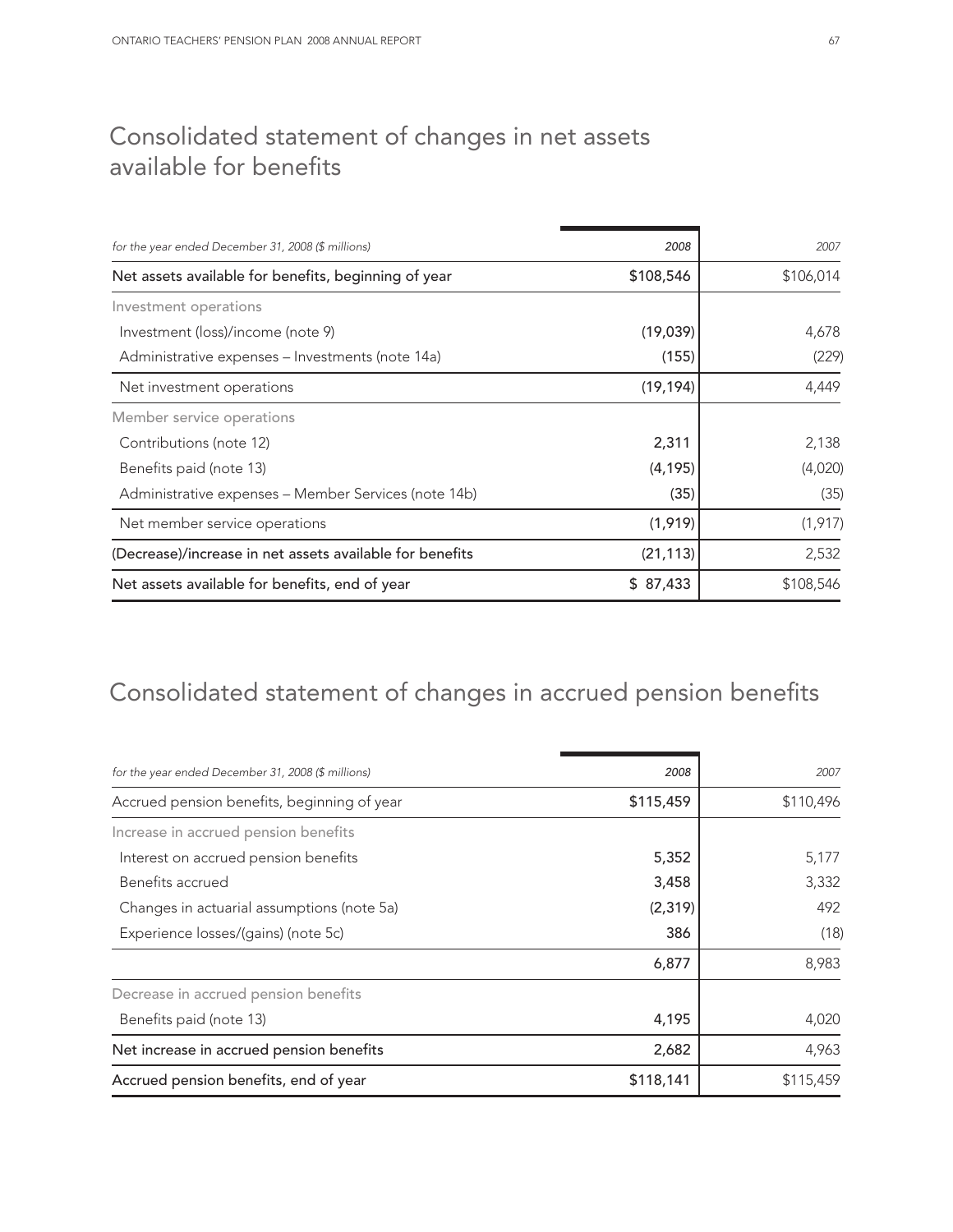## Consolidated statement of changes in net assets available for benefits

| for the year ended December 31, 2008 (\$ millions)       | 2008      | 2007      |
|----------------------------------------------------------|-----------|-----------|
| Net assets available for benefits, beginning of year     | \$108,546 | \$106,014 |
| Investment operations                                    |           |           |
| Investment (loss)/income (note 9)                        | (19,039)  | 4,678     |
| Administrative expenses – Investments (note 14a)         | (155)     | (229)     |
| Net investment operations                                | (19, 194) | 4,449     |
| Member service operations                                |           |           |
| Contributions (note 12)                                  | 2,311     | 2,138     |
| Benefits paid (note 13)                                  | (4, 195)  | (4,020)   |
| Administrative expenses – Member Services (note 14b)     | (35)      | (35)      |
| Net member service operations                            | (1,919)   | (1, 917)  |
| (Decrease)/increase in net assets available for benefits | (21, 113) | 2,532     |
| Net assets available for benefits, end of year           | \$87,433  | \$108,546 |

# Consolidated statement of changes in accrued pension benefits

| for the year ended December 31, 2008 (\$ millions) | 2008      | 2007      |
|----------------------------------------------------|-----------|-----------|
| Accrued pension benefits, beginning of year        | \$115,459 | \$110,496 |
| Increase in accrued pension benefits               |           |           |
| Interest on accrued pension benefits               | 5,352     | 5,177     |
| Benefits accrued                                   | 3,458     | 3,332     |
| Changes in actuarial assumptions (note 5a)         | (2, 319)  | 492       |
| Experience losses/(gains) (note 5c)                | 386       | (18)      |
|                                                    | 6,877     | 8,983     |
| Decrease in accrued pension benefits               |           |           |
| Benefits paid (note 13)                            | 4,195     | 4,020     |
| Net increase in accrued pension benefits           | 2,682     | 4,963     |
| Accrued pension benefits, end of year              | \$118,141 | \$115,459 |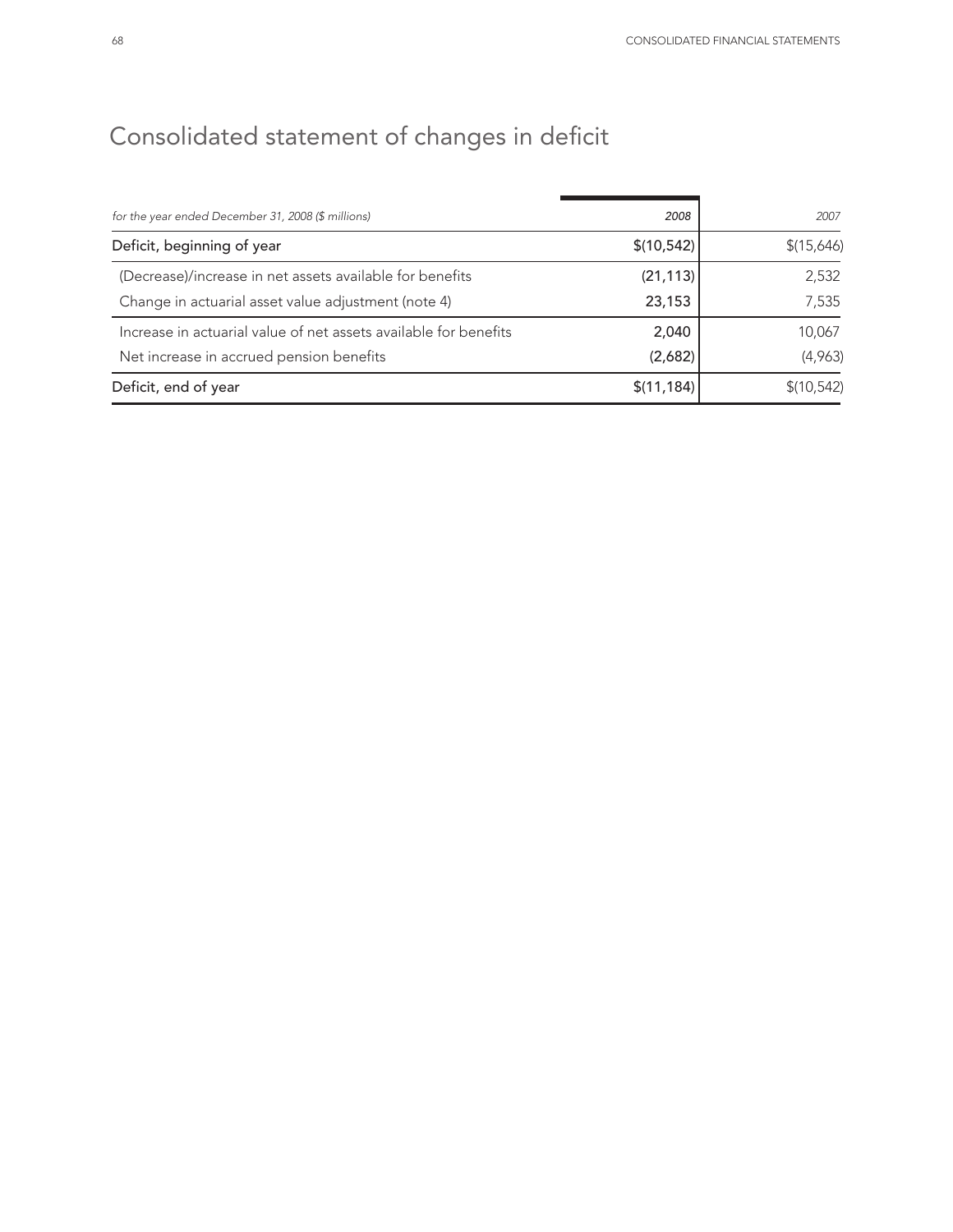# Consolidated statement of changes in deficit

| for the year ended December 31, 2008 (\$ millions)               | 2008        | 2007        |
|------------------------------------------------------------------|-------------|-------------|
| Deficit, beginning of year                                       | \$(10, 542) | \$(15,646)  |
| (Decrease)/increase in net assets available for benefits         | (21, 113)   | 2,532       |
| Change in actuarial asset value adjustment (note 4)              | 23,153      | 7,535       |
| Increase in actuarial value of net assets available for benefits | 2,040       | 10,067      |
| Net increase in accrued pension benefits                         | (2,682)     | (4,963)     |
| Deficit, end of year                                             | \$(11, 184) | \$(10, 542) |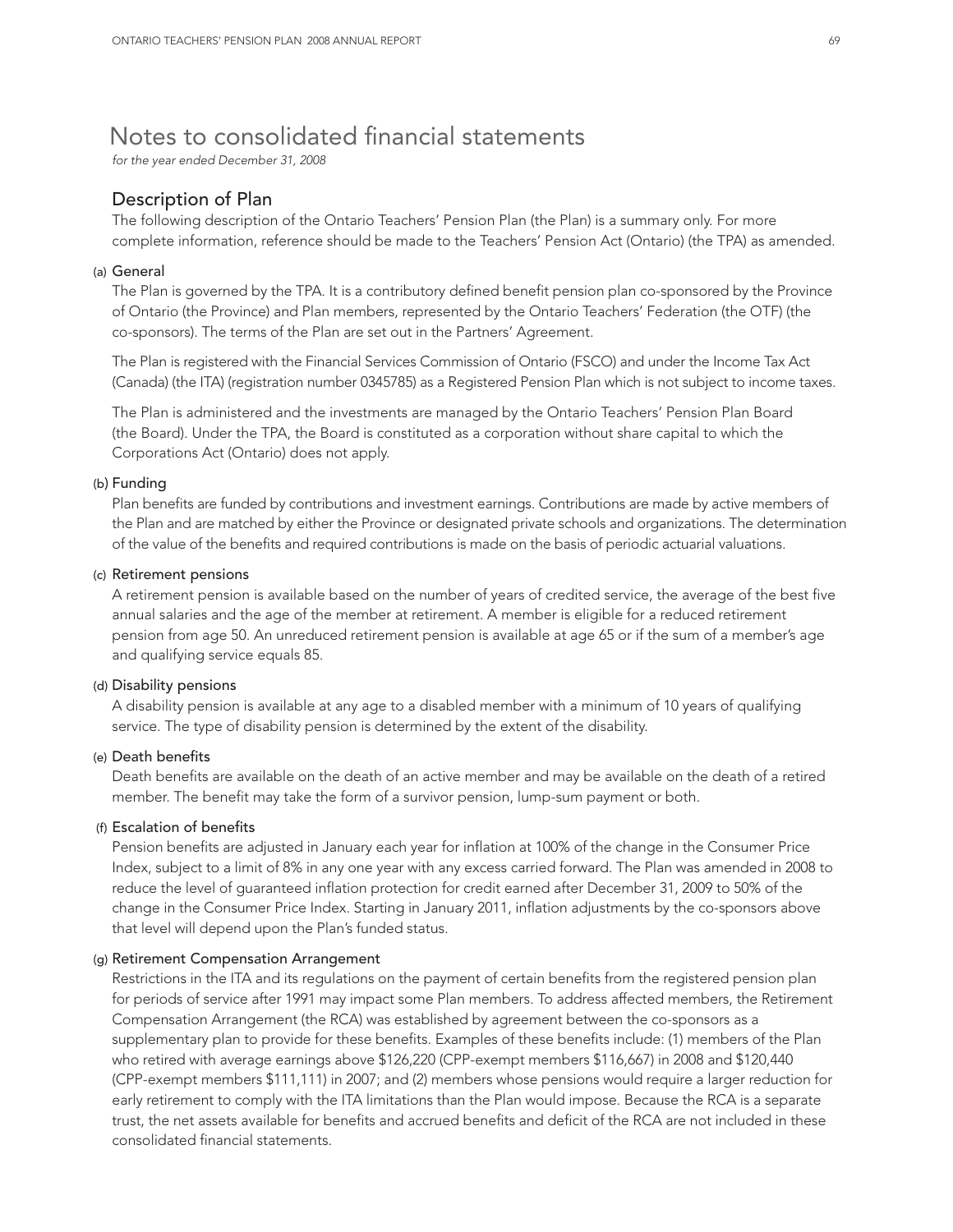## Notes to consolidated financial statements

*for the year ended December 31, 2008*

## Description of Plan

The following description of the Ontario Teachers' Pension Plan (the Plan) is a summary only. For more complete information, reference should be made to the Teachers' Pension Act (Ontario) (the TPA) as amended.

#### (a) General

The Plan is governed by the TPA. It is a contributory defined benefit pension plan co-sponsored by the Province of Ontario (the Province) and Plan members, represented by the Ontario Teachers' Federation (the OTF) (the co-sponsors). The terms of the Plan are set out in the Partners' Agreement.

The Plan is registered with the Financial Services Commission of Ontario (FSCO) and under the Income Tax Act (Canada) (the ITA) (registration number 0345785) as a Registered Pension Plan which is not subject to income taxes.

The Plan is administered and the investments are managed by the Ontario Teachers' Pension Plan Board (the Board). Under the TPA, the Board is constituted as a corporation without share capital to which the Corporations Act (Ontario) does not apply.

#### (b) Funding

Plan benefits are funded by contributions and investment earnings. Contributions are made by active members of the Plan and are matched by either the Province or designated private schools and organizations. The determination of the value of the benefits and required contributions is made on the basis of periodic actuarial valuations.

#### (c) Retirement pensions

A retirement pension is available based on the number of years of credited service, the average of the best five annual salaries and the age of the member at retirement. A member is eligible for a reduced retirement pension from age 50. An unreduced retirement pension is available at age 65 or if the sum of a member's age and qualifying service equals 85.

#### (d) Disability pensions

A disability pension is available at any age to a disabled member with a minimum of 10 years of qualifying service. The type of disability pension is determined by the extent of the disability.

#### (e) Death benefits

Death benefits are available on the death of an active member and may be available on the death of a retired member. The benefit may take the form of a survivor pension, lump-sum payment or both.

## (f) Escalation of benefits

Pension benefits are adjusted in January each year for inflation at 100% of the change in the Consumer Price Index, subject to a limit of 8% in any one year with any excess carried forward. The Plan was amended in 2008 to reduce the level of guaranteed inflation protection for credit earned after December 31, 2009 to 50% of the change in the Consumer Price Index. Starting in January 2011, inflation adjustments by the co-sponsors above that level will depend upon the Plan's funded status.

#### (g) Retirement Compensation Arrangement

Restrictions in the ITA and its regulations on the payment of certain benefits from the registered pension plan for periods of service after 1991 may impact some Plan members. To address affected members, the Retirement Compensation Arrangement (the RCA) was established by agreement between the co-sponsors as a supplementary plan to provide for these benefits. Examples of these benefits include: (1) members of the Plan who retired with average earnings above \$126,220 (CPP-exempt members \$116,667) in 2008 and \$120,440 (CPP-exempt members \$111,111) in 2007; and (2) members whose pensions would require a larger reduction for early retirement to comply with the ITA limitations than the Plan would impose. Because the RCA is a separate trust, the net assets available for benefits and accrued benefits and deficit of the RCA are not included in these consolidated financial statements.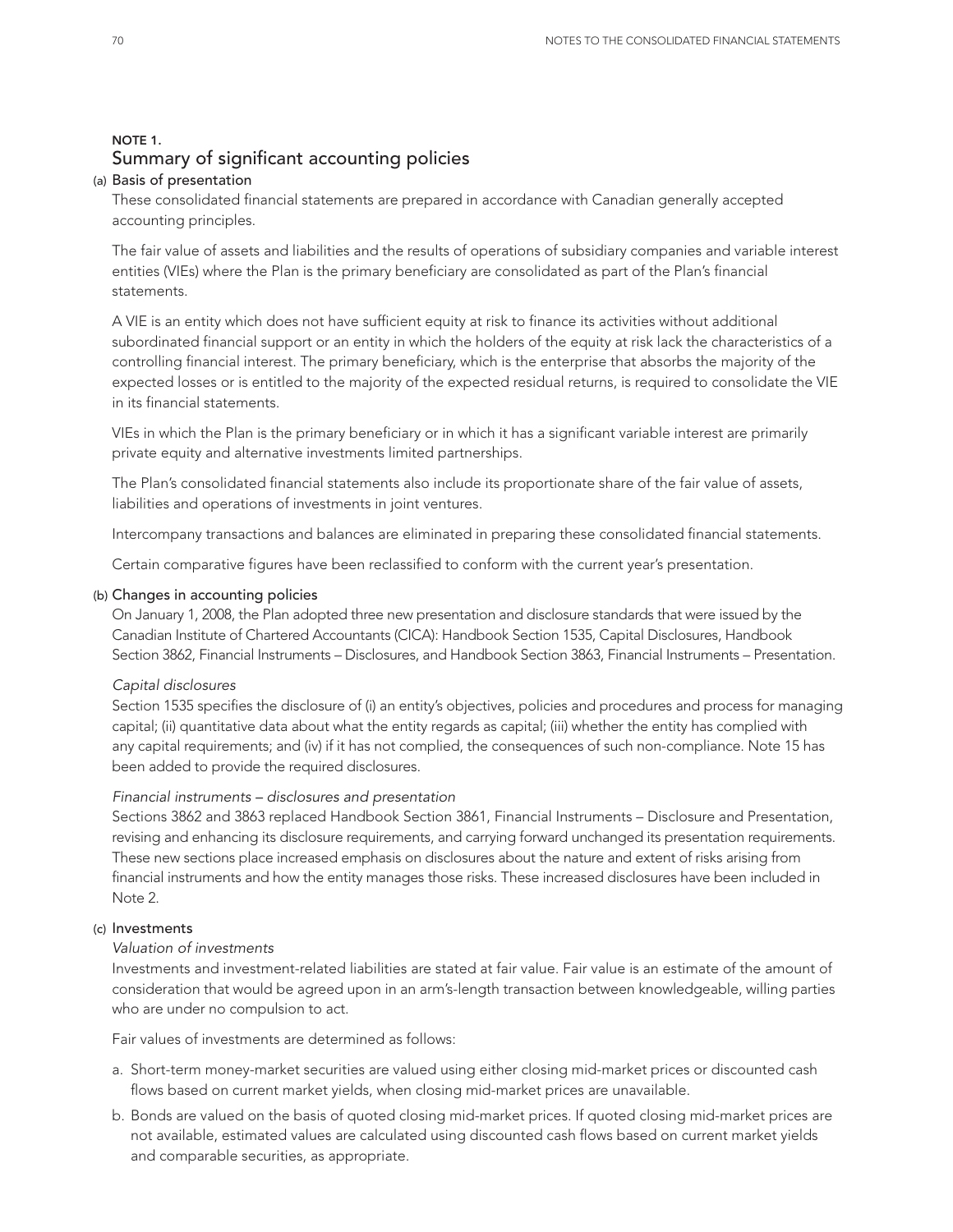## NOTE 1. Summary of significant accounting policies

#### (a) Basis of presentation

These consolidated financial statements are prepared in accordance with Canadian generally accepted accounting principles.

The fair value of assets and liabilities and the results of operations of subsidiary companies and variable interest entities (VIEs) where the Plan is the primary beneficiary are consolidated as part of the Plan's financial statements.

A VIE is an entity which does not have sufficient equity at risk to finance its activities without additional subordinated financial support or an entity in which the holders of the equity at risk lack the characteristics of a controlling financial interest. The primary beneficiary, which is the enterprise that absorbs the majority of the expected losses or is entitled to the majority of the expected residual returns, is required to consolidate the VIE in its financial statements.

VIEs in which the Plan is the primary beneficiary or in which it has a significant variable interest are primarily private equity and alternative investments limited partnerships.

The Plan's consolidated financial statements also include its proportionate share of the fair value of assets, liabilities and operations of investments in joint ventures.

Intercompany transactions and balances are eliminated in preparing these consolidated financial statements.

Certain comparative figures have been reclassified to conform with the current year's presentation.

#### (b) Changes in accounting policies

On January 1, 2008, the Plan adopted three new presentation and disclosure standards that were issued by the Canadian Institute of Chartered Accountants (CICA): Handbook Section 1535, Capital Disclosures, Handbook Section 3862, Financial Instruments – Disclosures, and Handbook Section 3863, Financial Instruments – Presentation.

#### *Capital disclosures*

Section 1535 specifies the disclosure of (i) an entity's objectives, policies and procedures and process for managing capital; (ii) quantitative data about what the entity regards as capital; (iii) whether the entity has complied with any capital requirements; and (iv) if it has not complied, the consequences of such non-compliance. Note 15 has been added to provide the required disclosures.

### *Financial instruments – disclosures and presentation*

Sections 3862 and 3863 replaced Handbook Section 3861, Financial Instruments – Disclosure and Presentation, revising and enhancing its disclosure requirements, and carrying forward unchanged its presentation requirements. These new sections place increased emphasis on disclosures about the nature and extent of risks arising from financial instruments and how the entity manages those risks. These increased disclosures have been included in Note 2.

#### (c) Investments

#### *Valuation of investments*

Investments and investment-related liabilities are stated at fair value. Fair value is an estimate of the amount of consideration that would be agreed upon in an arm's-length transaction between knowledgeable, willing parties who are under no compulsion to act.

Fair values of investments are determined as follows:

- a. Short-term money-market securities are valued using either closing mid-market prices or discounted cash flows based on current market yields, when closing mid-market prices are unavailable.
- b. Bonds are valued on the basis of quoted closing mid-market prices. If quoted closing mid-market prices are not available, estimated values are calculated using discounted cash flows based on current market yields and comparable securities, as appropriate.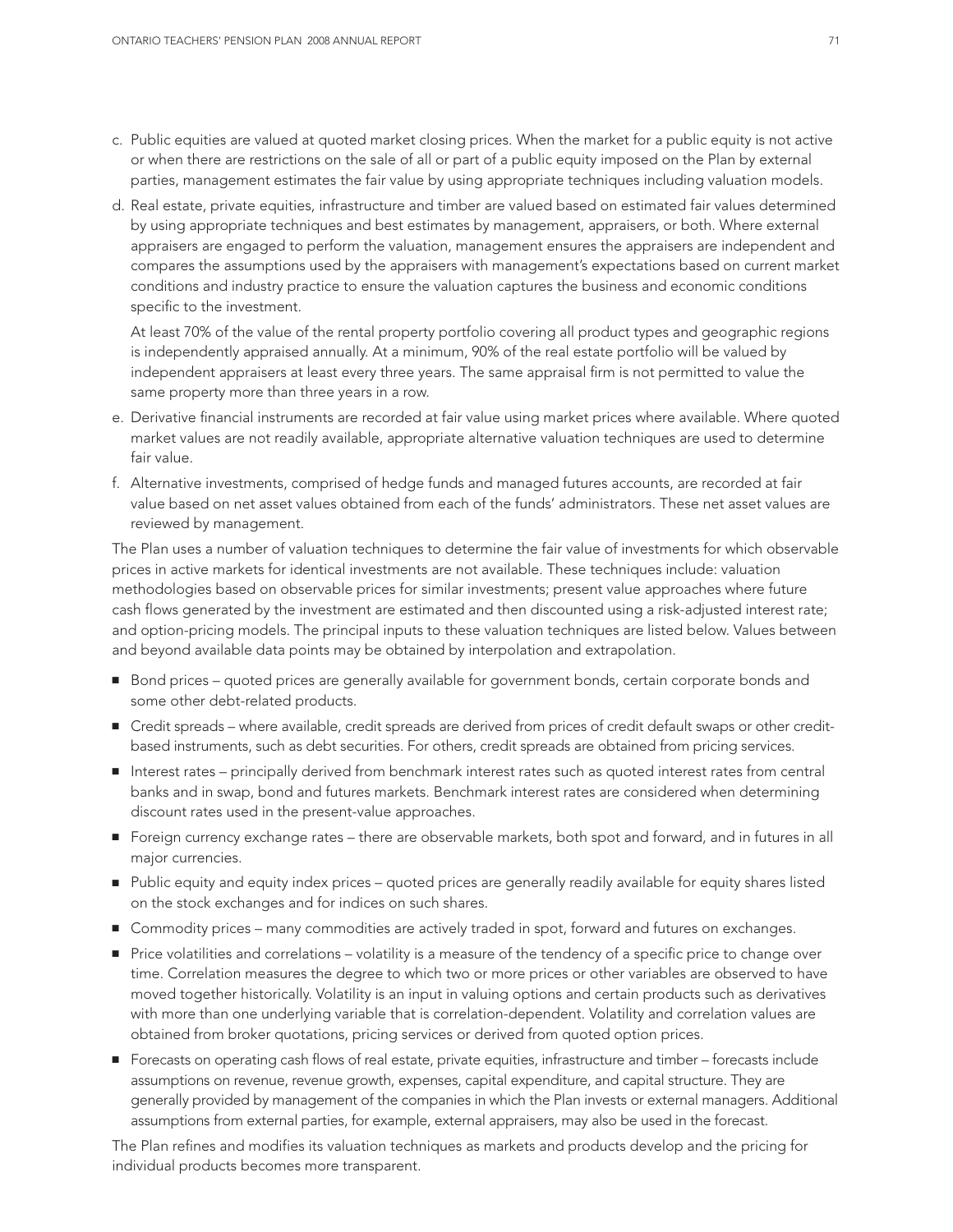- c. Public equities are valued at quoted market closing prices. When the market for a public equity is not active or when there are restrictions on the sale of all or part of a public equity imposed on the Plan by external parties, management estimates the fair value by using appropriate techniques including valuation models.
- d. Real estate, private equities, infrastructure and timber are valued based on estimated fair values determined by using appropriate techniques and best estimates by management, appraisers, or both. Where external appraisers are engaged to perform the valuation, management ensures the appraisers are independent and compares the assumptions used by the appraisers with management's expectations based on current market conditions and industry practice to ensure the valuation captures the business and economic conditions specific to the investment.

At least 70% of the value of the rental property portfolio covering all product types and geographic regions is independently appraised annually. At a minimum, 90% of the real estate portfolio will be valued by independent appraisers at least every three years. The same appraisal firm is not permitted to value the same property more than three years in a row.

- e. Derivative financial instruments are recorded at fair value using market prices where available. Where quoted market values are not readily available, appropriate alternative valuation techniques are used to determine fair value.
- f. Alternative investments, comprised of hedge funds and managed futures accounts, are recorded at fair value based on net asset values obtained from each of the funds' administrators. These net asset values are reviewed by management.

The Plan uses a number of valuation techniques to determine the fair value of investments for which observable prices in active markets for identical investments are not available. These techniques include: valuation methodologies based on observable prices for similar investments; present value approaches where future cash flows generated by the investment are estimated and then discounted using a risk-adjusted interest rate; and option-pricing models. The principal inputs to these valuation techniques are listed below. Values between and beyond available data points may be obtained by interpolation and extrapolation.

- Bond prices quoted prices are generally available for government bonds, certain corporate bonds and some other debt-related products.
- Credit spreads where available, credit spreads are derived from prices of credit default swaps or other creditbased instruments, such as debt securities. For others, credit spreads are obtained from pricing services.
- Interest rates principally derived from benchmark interest rates such as quoted interest rates from central banks and in swap, bond and futures markets. Benchmark interest rates are considered when determining discount rates used in the present-value approaches.
- **■** Foreign currency exchange rates there are observable markets, both spot and forward, and in futures in all major currencies.
- Public equity and equity index prices quoted prices are generally readily available for equity shares listed on the stock exchanges and for indices on such shares.
- Commodity prices many commodities are actively traded in spot, forward and futures on exchanges.
- Price volatilities and correlations volatility is a measure of the tendency of a specific price to change over time. Correlation measures the degree to which two or more prices or other variables are observed to have moved together historically. Volatility is an input in valuing options and certain products such as derivatives with more than one underlying variable that is correlation-dependent. Volatility and correlation values are obtained from broker quotations, pricing services or derived from quoted option prices.
- Forecasts on operating cash flows of real estate, private equities, infrastructure and timber forecasts include assumptions on revenue, revenue growth, expenses, capital expenditure, and capital structure. They are generally provided by management of the companies in which the Plan invests or external managers. Additional assumptions from external parties, for example, external appraisers, may also be used in the forecast.

The Plan refines and modifies its valuation techniques as markets and products develop and the pricing for individual products becomes more transparent.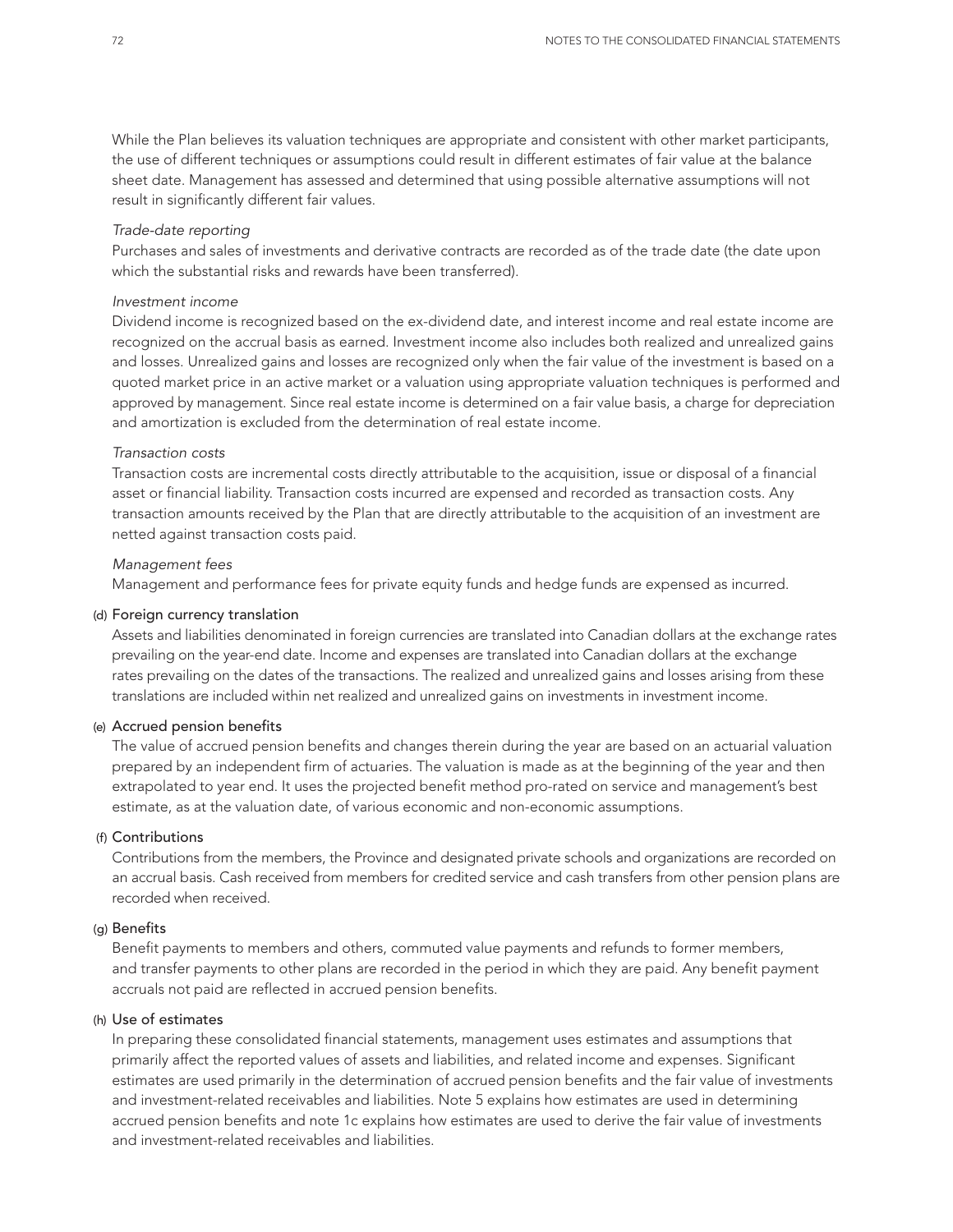While the Plan believes its valuation techniques are appropriate and consistent with other market participants, the use of different techniques or assumptions could result in different estimates of fair value at the balance sheet date. Management has assessed and determined that using possible alternative assumptions will not result in significantly different fair values.

#### *Trade-date reporting*

Purchases and sales of investments and derivative contracts are recorded as of the trade date (the date upon which the substantial risks and rewards have been transferred).

#### *Investment income*

Dividend income is recognized based on the ex-dividend date, and interest income and real estate income are recognized on the accrual basis as earned. Investment income also includes both realized and unrealized gains and losses. Unrealized gains and losses are recognized only when the fair value of the investment is based on a quoted market price in an active market or a valuation using appropriate valuation techniques is performed and approved by management. Since real estate income is determined on a fair value basis, a charge for depreciation and amortization is excluded from the determination of real estate income.

#### *Transaction costs*

Transaction costs are incremental costs directly attributable to the acquisition, issue or disposal of a financial asset or financial liability. Transaction costs incurred are expensed and recorded as transaction costs. Any transaction amounts received by the Plan that are directly attributable to the acquisition of an investment are netted against transaction costs paid.

#### *Management fees*

Management and performance fees for private equity funds and hedge funds are expensed as incurred.

#### (d) Foreign currency translation

Assets and liabilities denominated in foreign currencies are translated into Canadian dollars at the exchange rates prevailing on the year-end date. Income and expenses are translated into Canadian dollars at the exchange rates prevailing on the dates of the transactions. The realized and unrealized gains and losses arising from these translations are included within net realized and unrealized gains on investments in investment income.

#### (e) Accrued pension benefits

The value of accrued pension benefits and changes therein during the year are based on an actuarial valuation prepared by an independent firm of actuaries. The valuation is made as at the beginning of the year and then extrapolated to year end. It uses the projected benefit method pro-rated on service and management's best estimate, as at the valuation date, of various economic and non-economic assumptions.

### (f) Contributions

Contributions from the members, the Province and designated private schools and organizations are recorded on an accrual basis. Cash received from members for credited service and cash transfers from other pension plans are recorded when received.

#### (g) Benefits

Benefit payments to members and others, commuted value payments and refunds to former members, and transfer payments to other plans are recorded in the period in which they are paid. Any benefit payment accruals not paid are reflected in accrued pension benefits.

#### (h) Use of estimates

In preparing these consolidated financial statements, management uses estimates and assumptions that primarily affect the reported values of assets and liabilities, and related income and expenses. Significant estimates are used primarily in the determination of accrued pension benefits and the fair value of investments and investment-related receivables and liabilities. Note 5 explains how estimates are used in determining accrued pension benefits and note 1c explains how estimates are used to derive the fair value of investments and investment-related receivables and liabilities.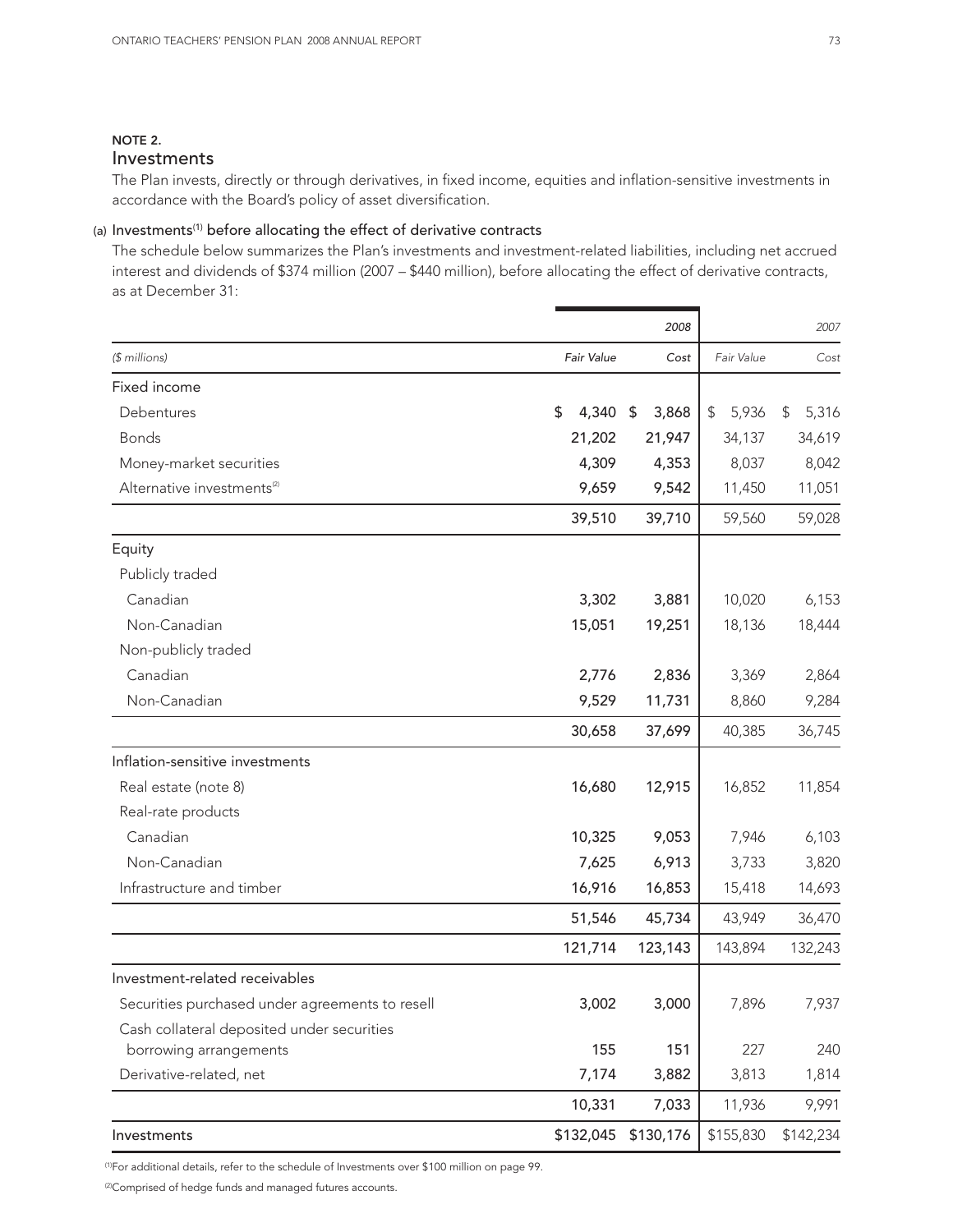## NOTE 2.

Investments

The Plan invests, directly or through derivatives, in fixed income, equities and inflation-sensitive investments in accordance with the Board's policy of asset diversification.

## (a) Investments<sup>(1)</sup> before allocating the effect of derivative contracts

The schedule below summarizes the Plan's investments and investment-related liabilities, including net accrued interest and dividends of \$374 million (2007 – \$440 million), before allocating the effect of derivative contracts, as at December 31:

|                                                 |             | 2008        |             | 2007        |
|-------------------------------------------------|-------------|-------------|-------------|-------------|
| (\$ millions)                                   | Fair Value  | Cost        | Fair Value  | Cost        |
| Fixed income                                    |             |             |             |             |
| Debentures                                      | \$<br>4,340 | 3,868<br>\$ | \$<br>5,936 | 5,316<br>\$ |
| <b>Bonds</b>                                    | 21,202      | 21,947      | 34,137      | 34,619      |
| Money-market securities                         | 4,309       | 4,353       | 8,037       | 8,042       |
| Alternative investments <sup>(2)</sup>          | 9,659       | 9,542       | 11,450      | 11,051      |
|                                                 | 39,510      | 39,710      | 59,560      | 59,028      |
| Equity                                          |             |             |             |             |
| Publicly traded                                 |             |             |             |             |
| Canadian                                        | 3,302       | 3,881       | 10,020      | 6,153       |
| Non-Canadian                                    | 15,051      | 19,251      | 18,136      | 18,444      |
| Non-publicly traded                             |             |             |             |             |
| Canadian                                        | 2,776       | 2,836       | 3,369       | 2,864       |
| Non-Canadian                                    | 9,529       | 11,731      | 8,860       | 9,284       |
|                                                 | 30,658      | 37,699      | 40,385      | 36,745      |
| Inflation-sensitive investments                 |             |             |             |             |
| Real estate (note 8)                            | 16,680      | 12,915      | 16,852      | 11,854      |
| Real-rate products                              |             |             |             |             |
| Canadian                                        | 10,325      | 9,053       | 7,946       | 6,103       |
| Non-Canadian                                    | 7,625       | 6,913       | 3,733       | 3,820       |
| Infrastructure and timber                       | 16,916      | 16,853      | 15,418      | 14,693      |
|                                                 | 51,546      | 45,734      | 43,949      | 36,470      |
|                                                 | 121,714     | 123,143     | 143,894     | 132,243     |
| Investment-related receivables                  |             |             |             |             |
| Securities purchased under agreements to resell | 3,002       | 3,000       | 7,896       | 7,937       |
| Cash collateral deposited under securities      |             |             |             |             |
| borrowing arrangements                          | 155         | 151         | 227         | 240         |
| Derivative-related, net                         | 7,174       | 3,882       | 3,813       | 1,814       |
|                                                 | 10,331      | 7,033       | 11,936      | 9,991       |
| Investments                                     | \$132,045   | \$130,176   | \$155,830   | \$142,234   |

(1)For additional details, refer to the schedule of Investments over \$100 million on page 99.

(2)Comprised of hedge funds and managed futures accounts.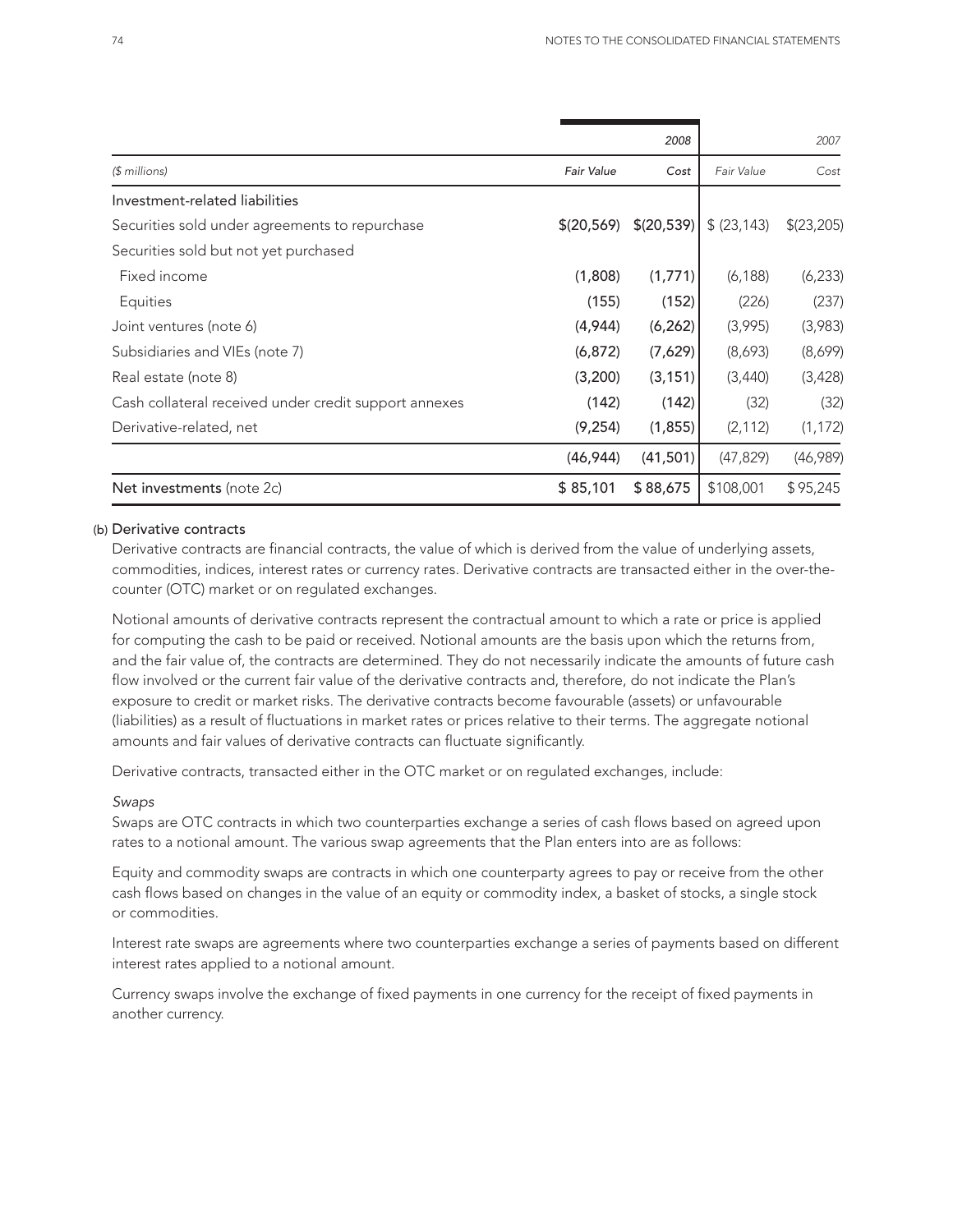|                                                       |                   | 2008        |              | 2007       |
|-------------------------------------------------------|-------------------|-------------|--------------|------------|
| $$$ millions)                                         | <b>Fair Value</b> | Cost        | Fair Value   | Cost       |
| Investment-related liabilities                        |                   |             |              |            |
| Securities sold under agreements to repurchase        | \$(20,569)        | \$(20, 539) | \$ (23, 143) | \$(23,205) |
| Securities sold but not yet purchased                 |                   |             |              |            |
| Fixed income                                          | (1,808)           | (1,771)     | (6, 188)     | (6, 233)   |
| Equities                                              | (155)             | (152)       | (226)        | (237)      |
| Joint ventures (note 6)                               | (4,944)           | (6, 262)    | (3,995)      | (3,983)    |
| Subsidiaries and VIEs (note 7)                        | (6, 872)          | (7,629)     | (8,693)      | (8,699)    |
| Real estate (note 8)                                  | (3,200)           | (3, 151)    | (3,440)      | (3, 428)   |
| Cash collateral received under credit support annexes | (142)             | (142)       | (32)         | (32)       |
| Derivative-related, net                               | (9,254)           | (1,855)     | (2, 112)     | (1, 172)   |
|                                                       | (46, 944)         | (41, 501)   | (47, 829)    | (46,989)   |
| Net investments (note 2c)                             | \$85,101          | \$88,675    | \$108,001    | \$95,245   |

#### (b) Derivative contracts

Derivative contracts are financial contracts, the value of which is derived from the value of underlying assets, commodities, indices, interest rates or currency rates. Derivative contracts are transacted either in the over-thecounter (OTC) market or on regulated exchanges.

Notional amounts of derivative contracts represent the contractual amount to which a rate or price is applied for computing the cash to be paid or received. Notional amounts are the basis upon which the returns from, and the fair value of, the contracts are determined. They do not necessarily indicate the amounts of future cash flow involved or the current fair value of the derivative contracts and, therefore, do not indicate the Plan's exposure to credit or market risks. The derivative contracts become favourable (assets) or unfavourable (liabilities) as a result of fluctuations in market rates or prices relative to their terms. The aggregate notional amounts and fair values of derivative contracts can fluctuate significantly.

Derivative contracts, transacted either in the OTC market or on regulated exchanges, include:

#### *Swaps*

Swaps are OTC contracts in which two counterparties exchange a series of cash flows based on agreed upon rates to a notional amount. The various swap agreements that the Plan enters into are as follows:

Equity and commodity swaps are contracts in which one counterparty agrees to pay or receive from the other cash flows based on changes in the value of an equity or commodity index, a basket of stocks, a single stock or commodities.

Interest rate swaps are agreements where two counterparties exchange a series of payments based on different interest rates applied to a notional amount.

Currency swaps involve the exchange of fixed payments in one currency for the receipt of fixed payments in another currency.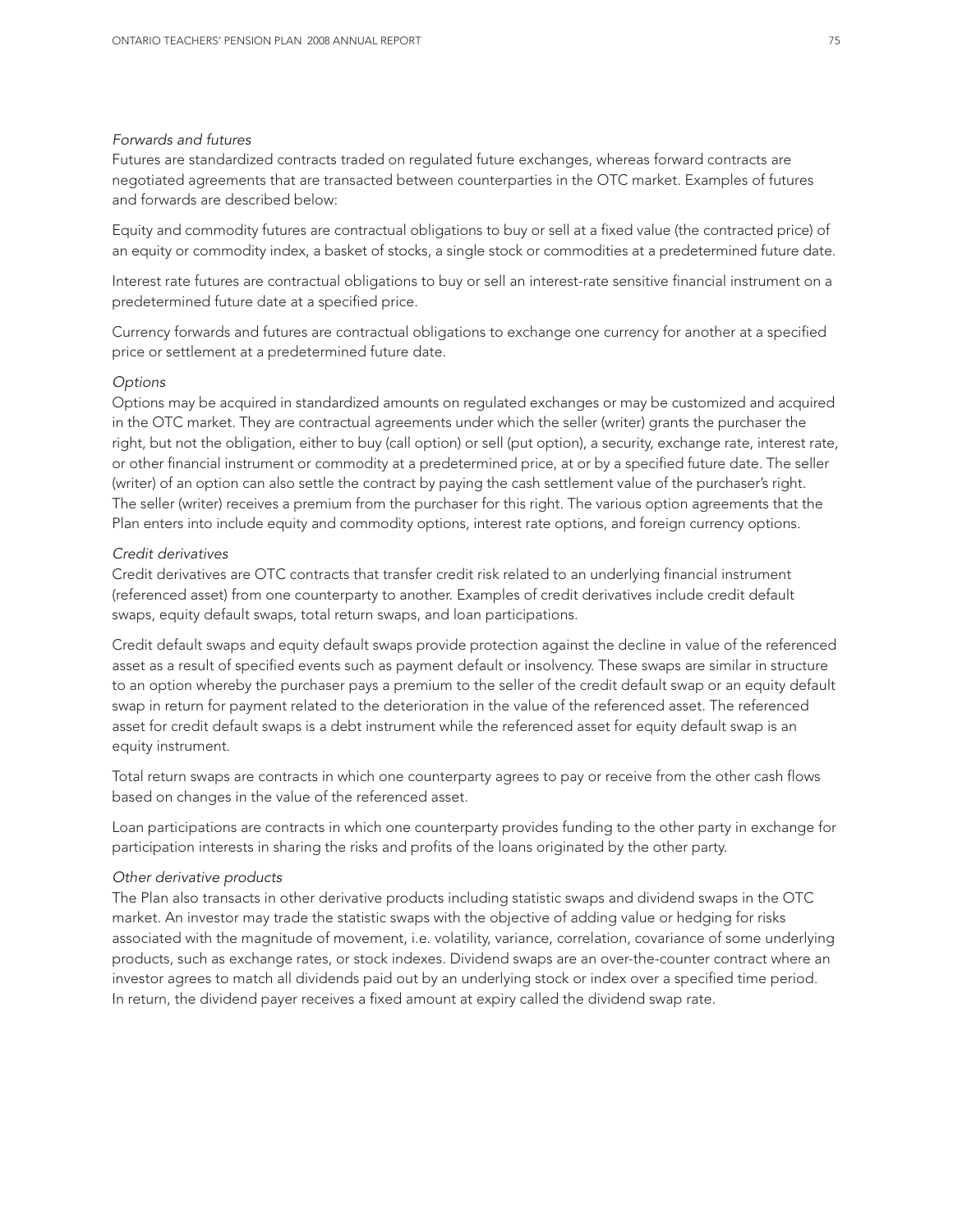#### *Forwards and futures*

Futures are standardized contracts traded on regulated future exchanges, whereas forward contracts are negotiated agreements that are transacted between counterparties in the OTC market. Examples of futures and forwards are described below:

Equity and commodity futures are contractual obligations to buy or sell at a fixed value (the contracted price) of an equity or commodity index, a basket of stocks, a single stock or commodities at a predetermined future date.

Interest rate futures are contractual obligations to buy or sell an interest-rate sensitive financial instrument on a predetermined future date at a specified price.

Currency forwards and futures are contractual obligations to exchange one currency for another at a specified price or settlement at a predetermined future date.

#### *Options*

Options may be acquired in standardized amounts on regulated exchanges or may be customized and acquired in the OTC market. They are contractual agreements under which the seller (writer) grants the purchaser the right, but not the obligation, either to buy (call option) or sell (put option), a security, exchange rate, interest rate, or other financial instrument or commodity at a predetermined price, at or by a specified future date. The seller (writer) of an option can also settle the contract by paying the cash settlement value of the purchaser's right. The seller (writer) receives a premium from the purchaser for this right. The various option agreements that the Plan enters into include equity and commodity options, interest rate options, and foreign currency options.

#### *Credit derivatives*

Credit derivatives are OTC contracts that transfer credit risk related to an underlying financial instrument (referenced asset) from one counterparty to another. Examples of credit derivatives include credit default swaps, equity default swaps, total return swaps, and loan participations.

Credit default swaps and equity default swaps provide protection against the decline in value of the referenced asset as a result of specified events such as payment default or insolvency. These swaps are similar in structure to an option whereby the purchaser pays a premium to the seller of the credit default swap or an equity default swap in return for payment related to the deterioration in the value of the referenced asset. The referenced asset for credit default swaps is a debt instrument while the referenced asset for equity default swap is an equity instrument.

Total return swaps are contracts in which one counterparty agrees to pay or receive from the other cash flows based on changes in the value of the referenced asset.

Loan participations are contracts in which one counterparty provides funding to the other party in exchange for participation interests in sharing the risks and profits of the loans originated by the other party.

#### *Other derivative products*

The Plan also transacts in other derivative products including statistic swaps and dividend swaps in the OTC market. An investor may trade the statistic swaps with the objective of adding value or hedging for risks associated with the magnitude of movement, i.e. volatility, variance, correlation, covariance of some underlying products, such as exchange rates, or stock indexes. Dividend swaps are an over-the-counter contract where an investor agrees to match all dividends paid out by an underlying stock or index over a specified time period. In return, the dividend payer receives a fixed amount at expiry called the dividend swap rate.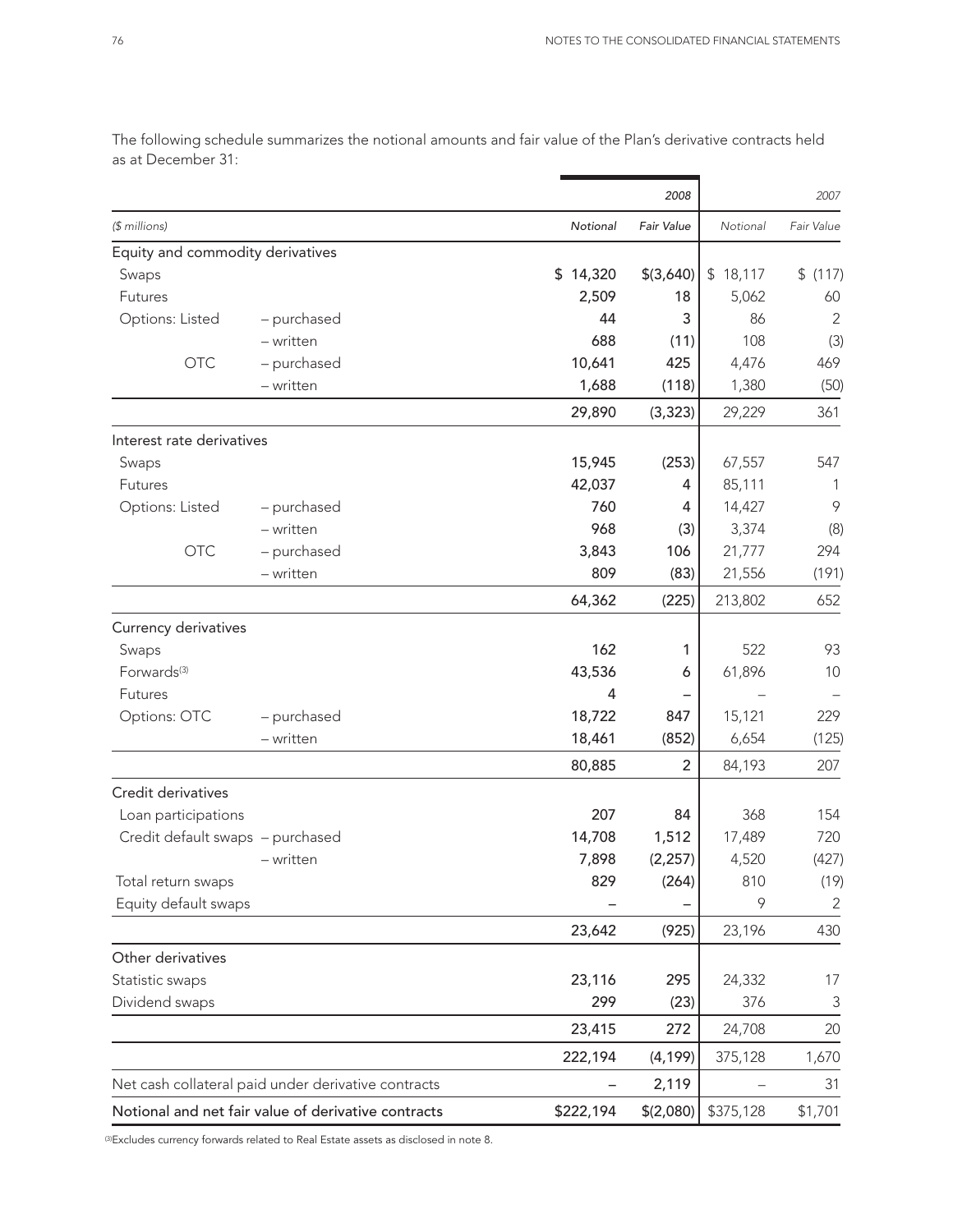|                                  |                                                     |           | 2008       |           | 2007       |
|----------------------------------|-----------------------------------------------------|-----------|------------|-----------|------------|
| (\$ millions)                    |                                                     | Notional  | Fair Value | Notional  | Fair Value |
| Equity and commodity derivatives |                                                     |           |            |           |            |
| Swaps                            |                                                     | \$14,320  | \$(3,640)  | \$18,117  | \$(117)    |
| Futures                          |                                                     | 2,509     | 18         | 5,062     | 60         |
| Options: Listed                  | - purchased                                         | 44        | 3          | 86        | 2          |
|                                  | - written                                           | 688       | (11)       | 108       | (3)        |
| <b>OTC</b>                       | - purchased                                         | 10,641    | 425        | 4,476     | 469        |
|                                  | - written                                           | 1,688     | (118)      | 1,380     | (50)       |
|                                  |                                                     | 29,890    | (3, 323)   | 29,229    | 361        |
| Interest rate derivatives        |                                                     |           |            |           |            |
| Swaps                            |                                                     | 15,945    | (253)      | 67,557    | 547        |
| Futures                          |                                                     | 42,037    | 4          | 85,111    | 1          |
| Options: Listed                  | - purchased                                         | 760       | 4          | 14,427    | 9          |
|                                  | - written                                           | 968       | (3)        | 3,374     | (8)        |
| <b>OTC</b>                       | - purchased                                         | 3,843     | 106        | 21,777    | 294        |
|                                  | - written                                           | 809       | (83)       | 21,556    | (191)      |
|                                  |                                                     | 64,362    | (225)      | 213,802   | 652        |
| Currency derivatives             |                                                     |           |            |           |            |
| Swaps                            |                                                     | 162       | 1          | 522       | 93         |
| Forwards <sup>(3)</sup>          |                                                     | 43,536    | 6          | 61,896    | 10         |
| Futures                          |                                                     | 4         |            |           |            |
| Options: OTC                     | - purchased                                         | 18,722    | 847        | 15,121    | 229        |
|                                  | - written                                           | 18,461    | (852)      | 6,654     | (125)      |
|                                  |                                                     | 80,885    | 2          | 84,193    | 207        |
| Credit derivatives               |                                                     |           |            |           |            |
| Loan participations              |                                                     | 207       | 84         | 368       | 154        |
| Credit default swaps - purchased |                                                     | 14,708    | 1,512      | 17,489    | 720        |
|                                  | - written                                           | 7,898     | (2, 257)   | 4,520     | (427)      |
| Total return swaps               |                                                     | 829       | (264)      | 810       | (19)       |
| Equity default swaps             |                                                     |           |            | 9         | 2          |
|                                  |                                                     | 23,642    | (925)      | 23,196    | 430        |
| Other derivatives                |                                                     |           |            |           |            |
| Statistic swaps                  |                                                     | 23,116    | 295        | 24,332    | 17         |
| Dividend swaps                   |                                                     | 299       | (23)       | 376       | 3          |
|                                  |                                                     | 23,415    | 272        | 24,708    | 20         |
|                                  |                                                     | 222,194   | (4, 199)   | 375,128   | 1,670      |
|                                  | Net cash collateral paid under derivative contracts | -         | 2,119      |           | 31         |
|                                  | Notional and net fair value of derivative contracts | \$222,194 | \$(2,080)  | \$375,128 | \$1,701    |

The following schedule summarizes the notional amounts and fair value of the Plan's derivative contracts held as at December 31:

(3)Excludes currency forwards related to Real Estate assets as disclosed in note 8.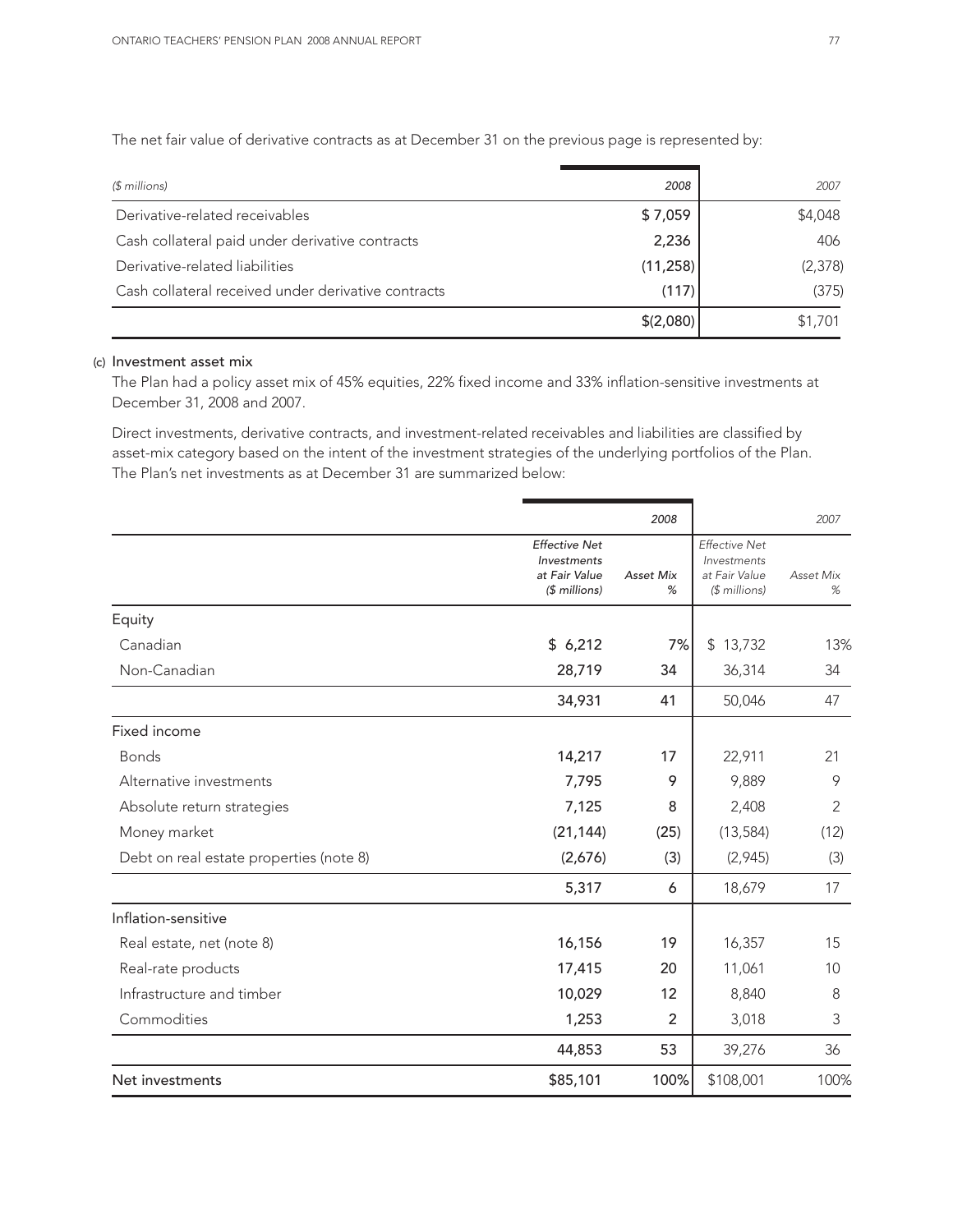The net fair value of derivative contracts as at December 31 on the previous page is represented by:

| $$$ millions)                                       | 2008      | 2007     |
|-----------------------------------------------------|-----------|----------|
| Derivative-related receivables                      | \$7,059   | \$4,048  |
| Cash collateral paid under derivative contracts     | 2,236     | 406      |
| Derivative-related liabilities                      | (11, 258) | (2, 378) |
| Cash collateral received under derivative contracts | (117)     | (375)    |
|                                                     | \$(2,080) | \$1,701  |

#### (c) Investment asset mix

The Plan had a policy asset mix of 45% equities, 22% fixed income and 33% inflation-sensitive investments at December 31, 2008 and 2007.

Direct investments, derivative contracts, and investment-related receivables and liabilities are classified by asset-mix category based on the intent of the investment strategies of the underlying portfolios of the Plan. The Plan's net investments as at December 31 are summarized below:

|                                         |                                                                       | 2008                  |                                                                       | 2007           |
|-----------------------------------------|-----------------------------------------------------------------------|-----------------------|-----------------------------------------------------------------------|----------------|
|                                         | <b>Effective Net</b><br>Investments<br>at Fair Value<br>$$$ millions) | <b>Asset Mix</b><br>% | <b>Effective Net</b><br>Investments<br>at Fair Value<br>$$$ millions) | Asset Mix<br>% |
| Equity                                  |                                                                       |                       |                                                                       |                |
| Canadian                                | \$6,212                                                               | 7%                    | \$13,732                                                              | 13%            |
| Non-Canadian                            | 28,719                                                                | 34                    | 36,314                                                                | 34             |
|                                         | 34,931                                                                | 41                    | 50,046                                                                | 47             |
| Fixed income                            |                                                                       |                       |                                                                       |                |
| <b>Bonds</b>                            | 14,217                                                                | 17                    | 22,911                                                                | 21             |
| Alternative investments                 | 7,795                                                                 | 9                     | 9,889                                                                 | 9              |
| Absolute return strategies              | 7,125                                                                 | 8                     | 2,408                                                                 | $\overline{2}$ |
| Money market                            | (21, 144)                                                             | (25)                  | (13, 584)                                                             | (12)           |
| Debt on real estate properties (note 8) | (2,676)                                                               | (3)                   | (2,945)                                                               | (3)            |
|                                         | 5,317                                                                 | 6                     | 18,679                                                                | 17             |
| Inflation-sensitive                     |                                                                       |                       |                                                                       |                |
| Real estate, net (note 8)               | 16,156                                                                | 19                    | 16,357                                                                | 15             |
| Real-rate products                      | 17,415                                                                | 20                    | 11,061                                                                | 10             |
| Infrastructure and timber               | 10,029                                                                | 12                    | 8,840                                                                 | 8              |
| Commodities                             | 1,253                                                                 | 2                     | 3,018                                                                 | 3              |
|                                         | 44,853                                                                | 53                    | 39,276                                                                | 36             |
| Net investments                         | \$85,101                                                              | 100%                  | \$108,001                                                             | 100%           |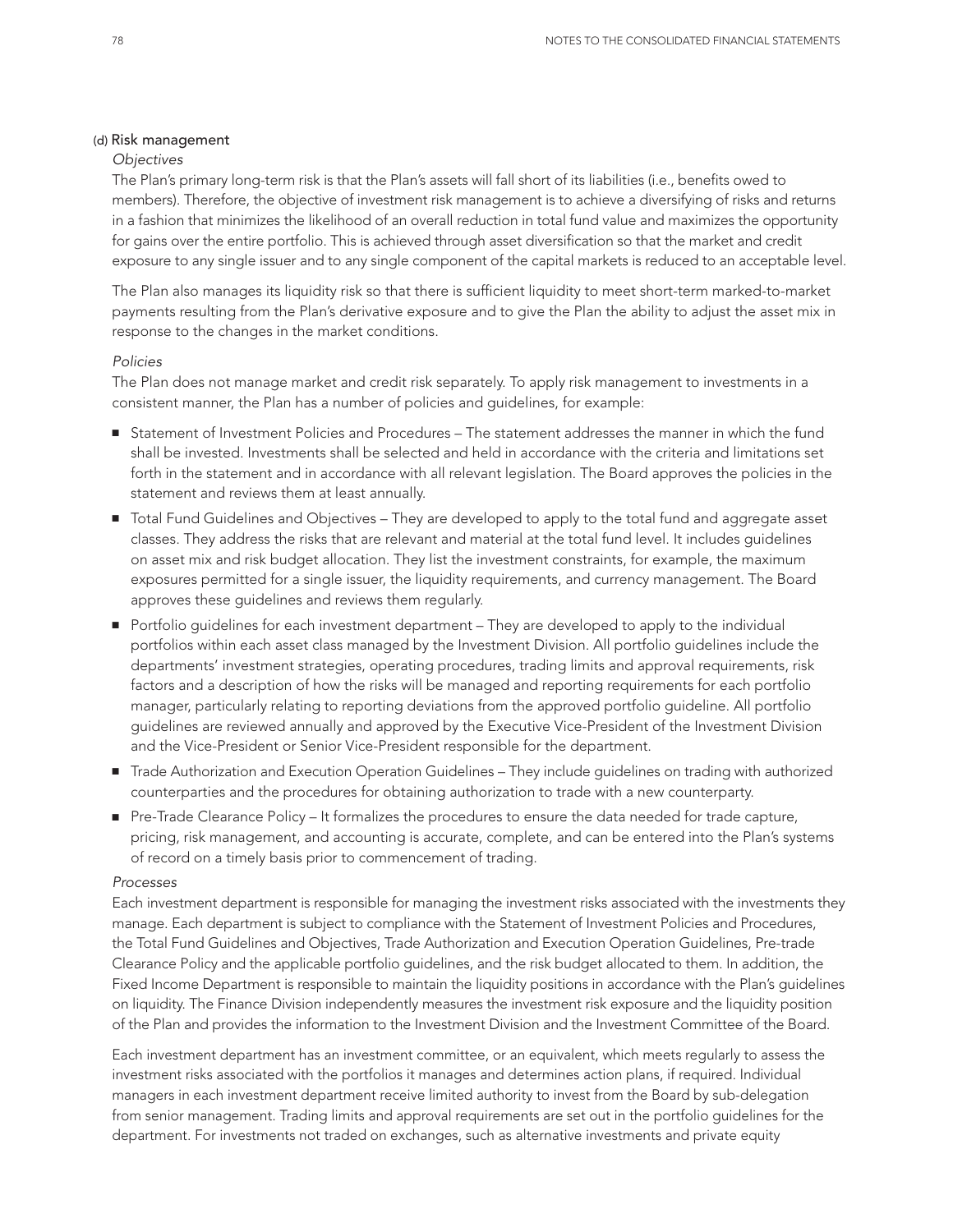#### (d) Risk management

#### *Objectives*

The Plan's primary long-term risk is that the Plan's assets will fall short of its liabilities (i.e., benefits owed to members). Therefore, the objective of investment risk management is to achieve a diversifying of risks and returns in a fashion that minimizes the likelihood of an overall reduction in total fund value and maximizes the opportunity for gains over the entire portfolio. This is achieved through asset diversification so that the market and credit exposure to any single issuer and to any single component of the capital markets is reduced to an acceptable level.

The Plan also manages its liquidity risk so that there is sufficient liquidity to meet short-term marked-to-market payments resulting from the Plan's derivative exposure and to give the Plan the ability to adjust the asset mix in response to the changes in the market conditions.

#### *Policies*

The Plan does not manage market and credit risk separately. To apply risk management to investments in a consistent manner, the Plan has a number of policies and guidelines, for example:

- Statement of Investment Policies and Procedures The statement addresses the manner in which the fund shall be invested. Investments shall be selected and held in accordance with the criteria and limitations set forth in the statement and in accordance with all relevant legislation. The Board approves the policies in the statement and reviews them at least annually.
- Total Fund Guidelines and Objectives They are developed to apply to the total fund and aggregate asset classes. They address the risks that are relevant and material at the total fund level. It includes guidelines on asset mix and risk budget allocation. They list the investment constraints, for example, the maximum exposures permitted for a single issuer, the liquidity requirements, and currency management. The Board approves these guidelines and reviews them regularly.
- Portfolio guidelines for each investment department They are developed to apply to the individual portfolios within each asset class managed by the Investment Division. All portfolio guidelines include the departments' investment strategies, operating procedures, trading limits and approval requirements, risk factors and a description of how the risks will be managed and reporting requirements for each portfolio manager, particularly relating to reporting deviations from the approved portfolio guideline. All portfolio guidelines are reviewed annually and approved by the Executive Vice-President of the Investment Division and the Vice-President or Senior Vice-President responsible for the department.
- Trade Authorization and Execution Operation Guidelines They include guidelines on trading with authorized counterparties and the procedures for obtaining authorization to trade with a new counterparty.
- Pre-Trade Clearance Policy It formalizes the procedures to ensure the data needed for trade capture, pricing, risk management, and accounting is accurate, complete, and can be entered into the Plan's systems of record on a timely basis prior to commencement of trading.

#### *Processes*

Each investment department is responsible for managing the investment risks associated with the investments they manage. Each department is subject to compliance with the Statement of Investment Policies and Procedures, the Total Fund Guidelines and Objectives, Trade Authorization and Execution Operation Guidelines, Pre-trade Clearance Policy and the applicable portfolio guidelines, and the risk budget allocated to them. In addition, the Fixed Income Department is responsible to maintain the liquidity positions in accordance with the Plan's guidelines on liquidity. The Finance Division independently measures the investment risk exposure and the liquidity position of the Plan and provides the information to the Investment Division and the Investment Committee of the Board.

Each investment department has an investment committee, or an equivalent, which meets regularly to assess the investment risks associated with the portfolios it manages and determines action plans, if required. Individual managers in each investment department receive limited authority to invest from the Board by sub-delegation from senior management. Trading limits and approval requirements are set out in the portfolio guidelines for the department. For investments not traded on exchanges, such as alternative investments and private equity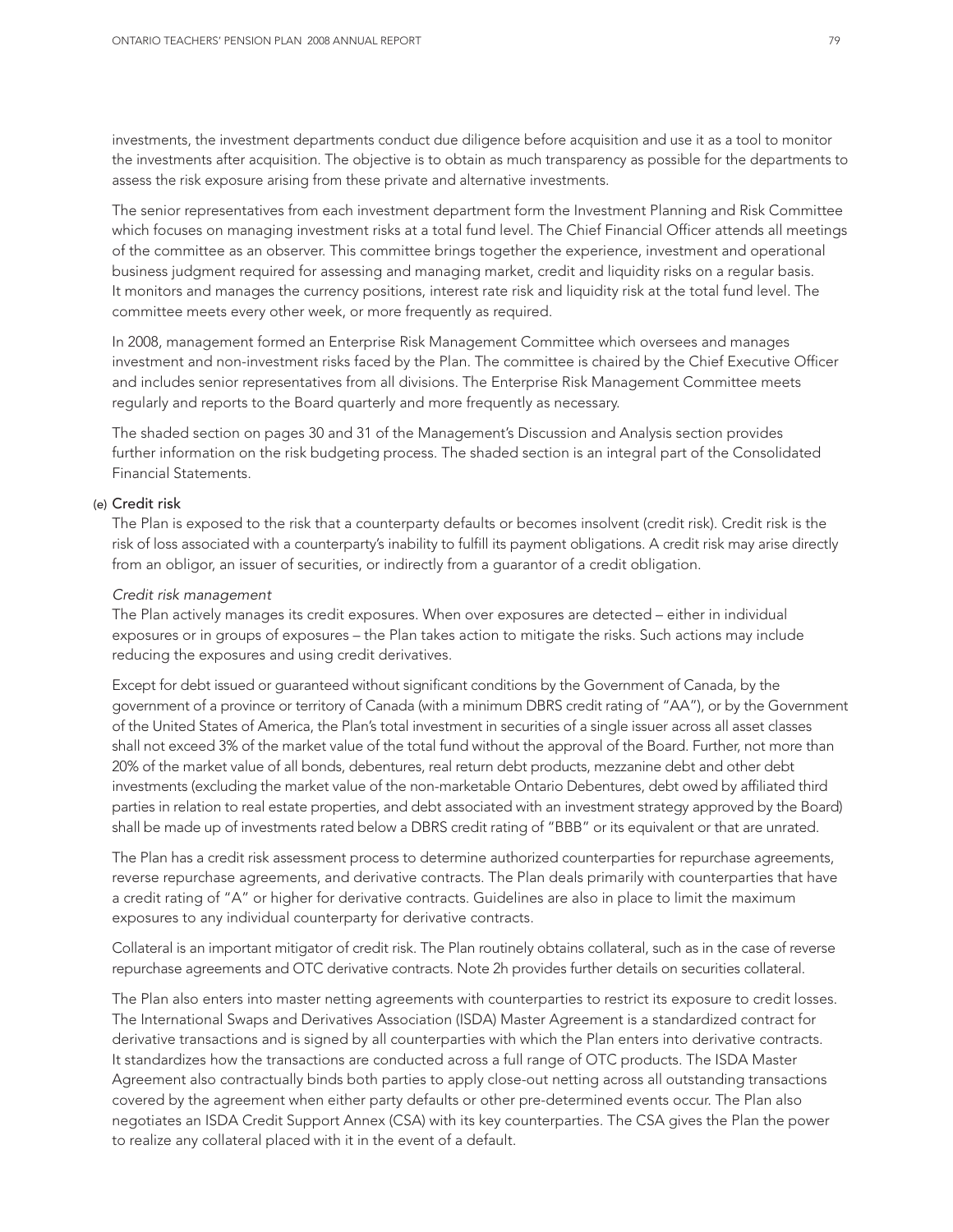investments, the investment departments conduct due diligence before acquisition and use it as a tool to monitor the investments after acquisition. The objective is to obtain as much transparency as possible for the departments to assess the risk exposure arising from these private and alternative investments.

The senior representatives from each investment department form the Investment Planning and Risk Committee which focuses on managing investment risks at a total fund level. The Chief Financial Officer attends all meetings of the committee as an observer. This committee brings together the experience, investment and operational business judgment required for assessing and managing market, credit and liquidity risks on a regular basis. It monitors and manages the currency positions, interest rate risk and liquidity risk at the total fund level. The committee meets every other week, or more frequently as required.

In 2008, management formed an Enterprise Risk Management Committee which oversees and manages investment and non-investment risks faced by the Plan. The committee is chaired by the Chief Executive Officer and includes senior representatives from all divisions. The Enterprise Risk Management Committee meets regularly and reports to the Board quarterly and more frequently as necessary.

The shaded section on pages 30 and 31 of the Management's Discussion and Analysis section provides further information on the risk budgeting process. The shaded section is an integral part of the Consolidated Financial Statements.

#### (e) Credit risk

The Plan is exposed to the risk that a counterparty defaults or becomes insolvent (credit risk). Credit risk is the risk of loss associated with a counterparty's inability to fulfill its payment obligations. A credit risk may arise directly from an obligor, an issuer of securities, or indirectly from a guarantor of a credit obligation.

#### *Credit risk management*

The Plan actively manages its credit exposures. When over exposures are detected – either in individual exposures or in groups of exposures – the Plan takes action to mitigate the risks. Such actions may include reducing the exposures and using credit derivatives.

Except for debt issued or guaranteed without significant conditions by the Government of Canada, by the government of a province or territory of Canada (with a minimum DBRS credit rating of "AA"), or by the Government of the United States of America, the Plan's total investment in securities of a single issuer across all asset classes shall not exceed 3% of the market value of the total fund without the approval of the Board. Further, not more than 20% of the market value of all bonds, debentures, real return debt products, mezzanine debt and other debt investments (excluding the market value of the non-marketable Ontario Debentures, debt owed by affiliated third parties in relation to real estate properties, and debt associated with an investment strategy approved by the Board) shall be made up of investments rated below a DBRS credit rating of "BBB" or its equivalent or that are unrated.

The Plan has a credit risk assessment process to determine authorized counterparties for repurchase agreements, reverse repurchase agreements, and derivative contracts. The Plan deals primarily with counterparties that have a credit rating of "A" or higher for derivative contracts. Guidelines are also in place to limit the maximum exposures to any individual counterparty for derivative contracts.

Collateral is an important mitigator of credit risk. The Plan routinely obtains collateral, such as in the case of reverse repurchase agreements and OTC derivative contracts. Note 2h provides further details on securities collateral.

The Plan also enters into master netting agreements with counterparties to restrict its exposure to credit losses. The International Swaps and Derivatives Association (ISDA) Master Agreement is a standardized contract for derivative transactions and is signed by all counterparties with which the Plan enters into derivative contracts. It standardizes how the transactions are conducted across a full range of OTC products. The ISDA Master Agreement also contractually binds both parties to apply close-out netting across all outstanding transactions covered by the agreement when either party defaults or other pre-determined events occur. The Plan also negotiates an ISDA Credit Support Annex (CSA) with its key counterparties. The CSA gives the Plan the power to realize any collateral placed with it in the event of a default.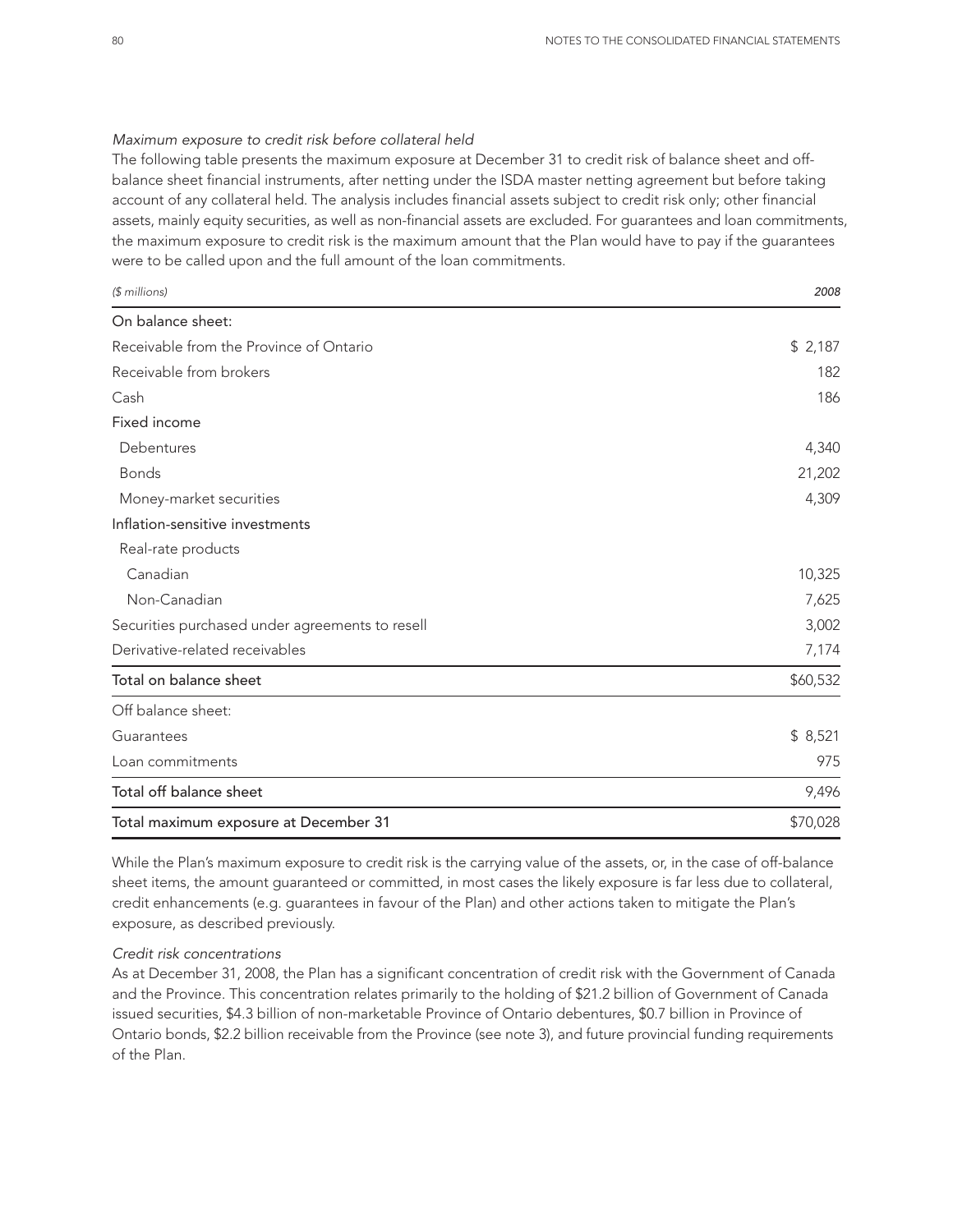#### *Maximum exposure to credit risk before collateral held*

The following table presents the maximum exposure at December 31 to credit risk of balance sheet and offbalance sheet financial instruments, after netting under the ISDA master netting agreement but before taking account of any collateral held. The analysis includes financial assets subject to credit risk only; other financial assets, mainly equity securities, as well as non-financial assets are excluded. For guarantees and loan commitments, the maximum exposure to credit risk is the maximum amount that the Plan would have to pay if the guarantees were to be called upon and the full amount of the loan commitments.

| $$$ millions)                                   | 2008     |
|-------------------------------------------------|----------|
| On balance sheet:                               |          |
| Receivable from the Province of Ontario         | \$2,187  |
| Receivable from brokers                         | 182      |
| Cash                                            | 186      |
| Fixed income                                    |          |
| Debentures                                      | 4,340    |
| <b>Bonds</b>                                    | 21,202   |
| Money-market securities                         | 4,309    |
| Inflation-sensitive investments                 |          |
| Real-rate products                              |          |
| Canadian                                        | 10,325   |
| Non-Canadian                                    | 7,625    |
| Securities purchased under agreements to resell | 3,002    |
| Derivative-related receivables                  | 7,174    |
| Total on balance sheet                          | \$60,532 |
| Off balance sheet:                              |          |
| Guarantees                                      | \$8,521  |
| Loan commitments                                | 975      |
| Total off balance sheet                         | 9,496    |
| Total maximum exposure at December 31           | \$70,028 |

While the Plan's maximum exposure to credit risk is the carrying value of the assets, or, in the case of off-balance sheet items, the amount guaranteed or committed, in most cases the likely exposure is far less due to collateral, credit enhancements (e.g. guarantees in favour of the Plan) and other actions taken to mitigate the Plan's exposure, as described previously.

### *Credit risk concentrations*

As at December 31, 2008, the Plan has a significant concentration of credit risk with the Government of Canada and the Province. This concentration relates primarily to the holding of \$21.2 billion of Government of Canada issued securities, \$4.3 billion of non-marketable Province of Ontario debentures, \$0.7 billion in Province of Ontario bonds, \$2.2 billion receivable from the Province (see note 3), and future provincial funding requirements of the Plan.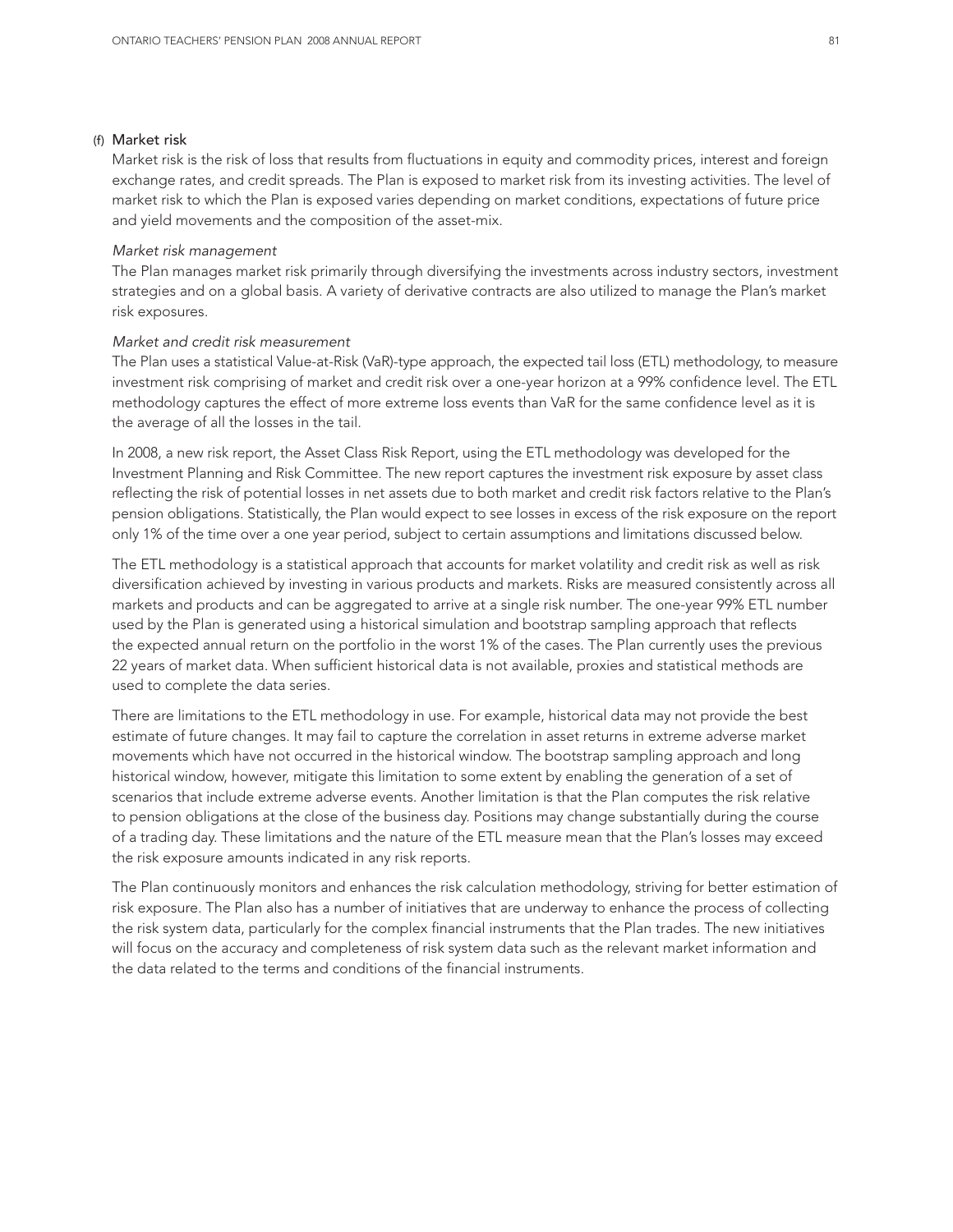#### (f) Market risk

Market risk is the risk of loss that results from fluctuations in equity and commodity prices, interest and foreign exchange rates, and credit spreads. The Plan is exposed to market risk from its investing activities. The level of market risk to which the Plan is exposed varies depending on market conditions, expectations of future price and yield movements and the composition of the asset-mix.

#### *Market risk management*

The Plan manages market risk primarily through diversifying the investments across industry sectors, investment strategies and on a global basis. A variety of derivative contracts are also utilized to manage the Plan's market risk exposures.

#### *Market and credit risk measurement*

The Plan uses a statistical Value-at-Risk (VaR)-type approach, the expected tail loss (ETL) methodology, to measure investment risk comprising of market and credit risk over a one-year horizon at a 99% confidence level. The ETL methodology captures the effect of more extreme loss events than VaR for the same confidence level as it is the average of all the losses in the tail.

In 2008, a new risk report, the Asset Class Risk Report, using the ETL methodology was developed for the Investment Planning and Risk Committee. The new report captures the investment risk exposure by asset class reflecting the risk of potential losses in net assets due to both market and credit risk factors relative to the Plan's pension obligations. Statistically, the Plan would expect to see losses in excess of the risk exposure on the report only 1% of the time over a one year period, subject to certain assumptions and limitations discussed below.

The ETL methodology is a statistical approach that accounts for market volatility and credit risk as well as risk diversification achieved by investing in various products and markets. Risks are measured consistently across all markets and products and can be aggregated to arrive at a single risk number. The one-year 99% ETL number used by the Plan is generated using a historical simulation and bootstrap sampling approach that reflects the expected annual return on the portfolio in the worst 1% of the cases. The Plan currently uses the previous 22 years of market data. When sufficient historical data is not available, proxies and statistical methods are used to complete the data series.

There are limitations to the ETL methodology in use. For example, historical data may not provide the best estimate of future changes. It may fail to capture the correlation in asset returns in extreme adverse market movements which have not occurred in the historical window. The bootstrap sampling approach and long historical window, however, mitigate this limitation to some extent by enabling the generation of a set of scenarios that include extreme adverse events. Another limitation is that the Plan computes the risk relative to pension obligations at the close of the business day. Positions may change substantially during the course of a trading day. These limitations and the nature of the ETL measure mean that the Plan's losses may exceed the risk exposure amounts indicated in any risk reports.

The Plan continuously monitors and enhances the risk calculation methodology, striving for better estimation of risk exposure. The Plan also has a number of initiatives that are underway to enhance the process of collecting the risk system data, particularly for the complex financial instruments that the Plan trades. The new initiatives will focus on the accuracy and completeness of risk system data such as the relevant market information and the data related to the terms and conditions of the financial instruments.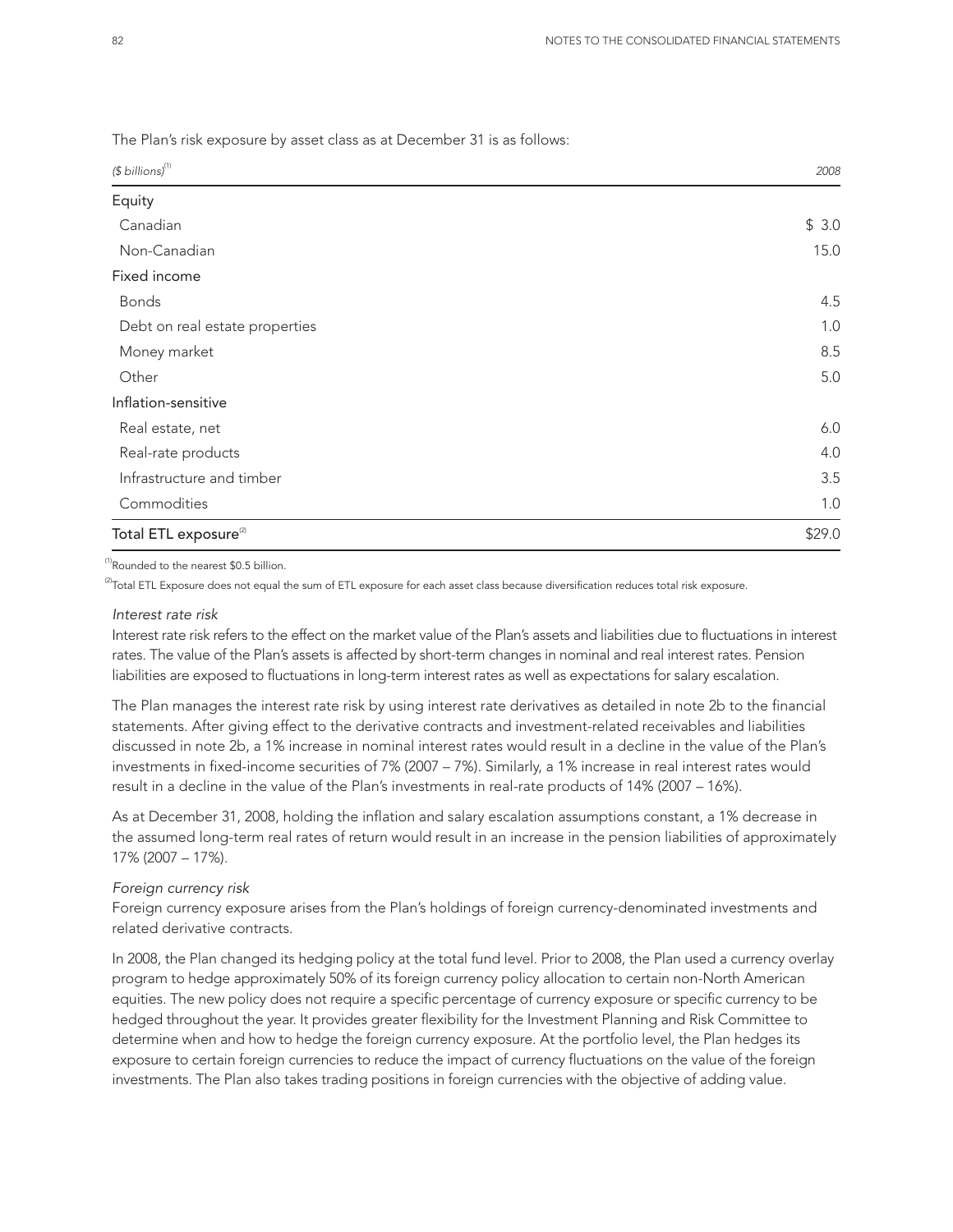The Plan's risk exposure by asset class as at December 31 is as follows:

| $$6$ billions) <sup>(1)</sup>     | 2008   |
|-----------------------------------|--------|
| Equity                            |        |
| Canadian                          | \$3.0  |
| Non-Canadian                      | 15.0   |
| Fixed income                      |        |
| <b>Bonds</b>                      | 4.5    |
| Debt on real estate properties    | 1.0    |
| Money market                      | 8.5    |
| Other                             | 5.0    |
| Inflation-sensitive               |        |
| Real estate, net                  | 6.0    |
| Real-rate products                | 4.0    |
| Infrastructure and timber         | 3.5    |
| Commodities                       | 1.0    |
| Total ETL exposure <sup>(2)</sup> | \$29.0 |

<sup>(1)</sup>Rounded to the nearest \$0.5 billion.

 $^{(2)}$ Total ETL Exposure does not equal the sum of ETL exposure for each asset class because diversification reduces total risk exposure.

#### *Interest rate risk*

Interest rate risk refers to the effect on the market value of the Plan's assets and liabilities due to fluctuations in interest rates. The value of the Plan's assets is affected by short-term changes in nominal and real interest rates. Pension liabilities are exposed to fluctuations in long-term interest rates as well as expectations for salary escalation.

The Plan manages the interest rate risk by using interest rate derivatives as detailed in note 2b to the financial statements. After giving effect to the derivative contracts and investment-related receivables and liabilities discussed in note 2b, a 1% increase in nominal interest rates would result in a decline in the value of the Plan's investments in fixed-income securities of 7% (2007 – 7%). Similarly, a 1% increase in real interest rates would result in a decline in the value of the Plan's investments in real-rate products of 14% (2007 – 16%).

As at December 31, 2008, holding the inflation and salary escalation assumptions constant, a 1% decrease in the assumed long-term real rates of return would result in an increase in the pension liabilities of approximately 17% (2007 – 17%).

#### *Foreign currency risk*

Foreign currency exposure arises from the Plan's holdings of foreign currency-denominated investments and related derivative contracts.

In 2008, the Plan changed its hedging policy at the total fund level. Prior to 2008, the Plan used a currency overlay program to hedge approximately 50% of its foreign currency policy allocation to certain non-North American equities. The new policy does not require a specific percentage of currency exposure or specific currency to be hedged throughout the year. It provides greater flexibility for the Investment Planning and Risk Committee to determine when and how to hedge the foreign currency exposure. At the portfolio level, the Plan hedges its exposure to certain foreign currencies to reduce the impact of currency fluctuations on the value of the foreign investments. The Plan also takes trading positions in foreign currencies with the objective of adding value.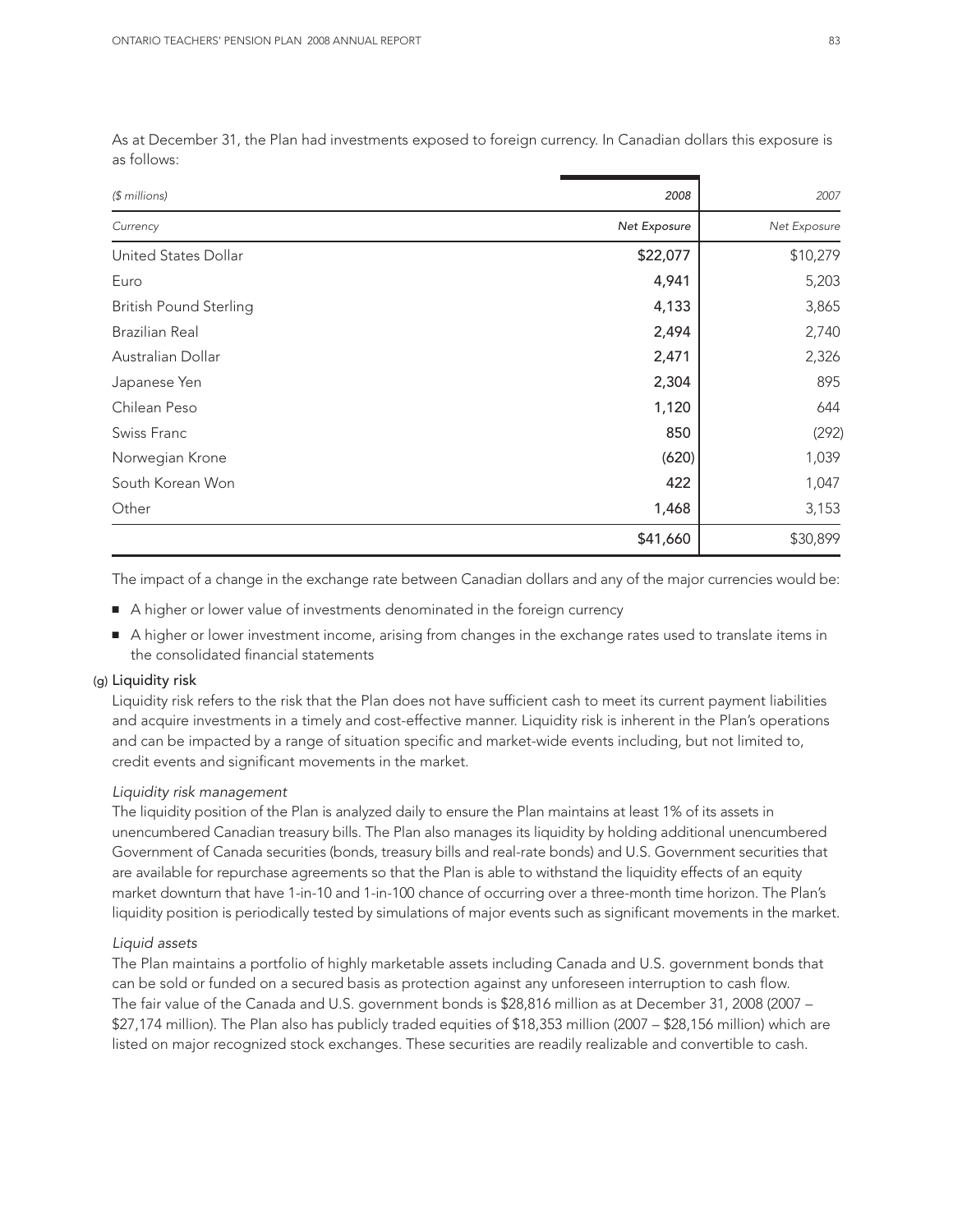| $$$ millions)                 | 2008         | 2007         |
|-------------------------------|--------------|--------------|
| Currency                      | Net Exposure | Net Exposure |
| United States Dollar          | \$22,077     | \$10,279     |
| Euro                          | 4,941        | 5,203        |
| <b>British Pound Sterling</b> | 4,133        | 3,865        |
| <b>Brazilian Real</b>         | 2,494        | 2,740        |
| Australian Dollar             | 2,471        | 2,326        |
| Japanese Yen                  | 2,304        | 895          |
| Chilean Peso                  | 1,120        | 644          |
| Swiss Franc                   | 850          | (292)        |
| Norwegian Krone               | (620)        | 1,039        |
| South Korean Won              | 422          | 1,047        |
| Other                         | 1,468        | 3,153        |
|                               | \$41,660     | \$30,899     |

As at December 31, the Plan had investments exposed to foreign currency. In Canadian dollars this exposure is as follows:

The impact of a change in the exchange rate between Canadian dollars and any of the major currencies would be:

- A higher or lower value of investments denominated in the foreign currency
- A higher or lower investment income, arising from changes in the exchange rates used to translate items in the consolidated financial statements

#### (g) Liquidity risk

Liquidity risk refers to the risk that the Plan does not have sufficient cash to meet its current payment liabilities and acquire investments in a timely and cost-effective manner. Liquidity risk is inherent in the Plan's operations and can be impacted by a range of situation specific and market-wide events including, but not limited to, credit events and significant movements in the market.

#### *Liquidity risk management*

The liquidity position of the Plan is analyzed daily to ensure the Plan maintains at least 1% of its assets in unencumbered Canadian treasury bills. The Plan also manages its liquidity by holding additional unencumbered Government of Canada securities (bonds, treasury bills and real-rate bonds) and U.S. Government securities that are available for repurchase agreements so that the Plan is able to withstand the liquidity effects of an equity market downturn that have 1-in-10 and 1-in-100 chance of occurring over a three-month time horizon. The Plan's liquidity position is periodically tested by simulations of major events such as significant movements in the market.

#### *Liquid assets*

The Plan maintains a portfolio of highly marketable assets including Canada and U.S. government bonds that can be sold or funded on a secured basis as protection against any unforeseen interruption to cash flow. The fair value of the Canada and U.S. government bonds is \$28,816 million as at December 31, 2008 (2007 – \$27,174 million). The Plan also has publicly traded equities of \$18,353 million (2007 – \$28,156 million) which are listed on major recognized stock exchanges. These securities are readily realizable and convertible to cash.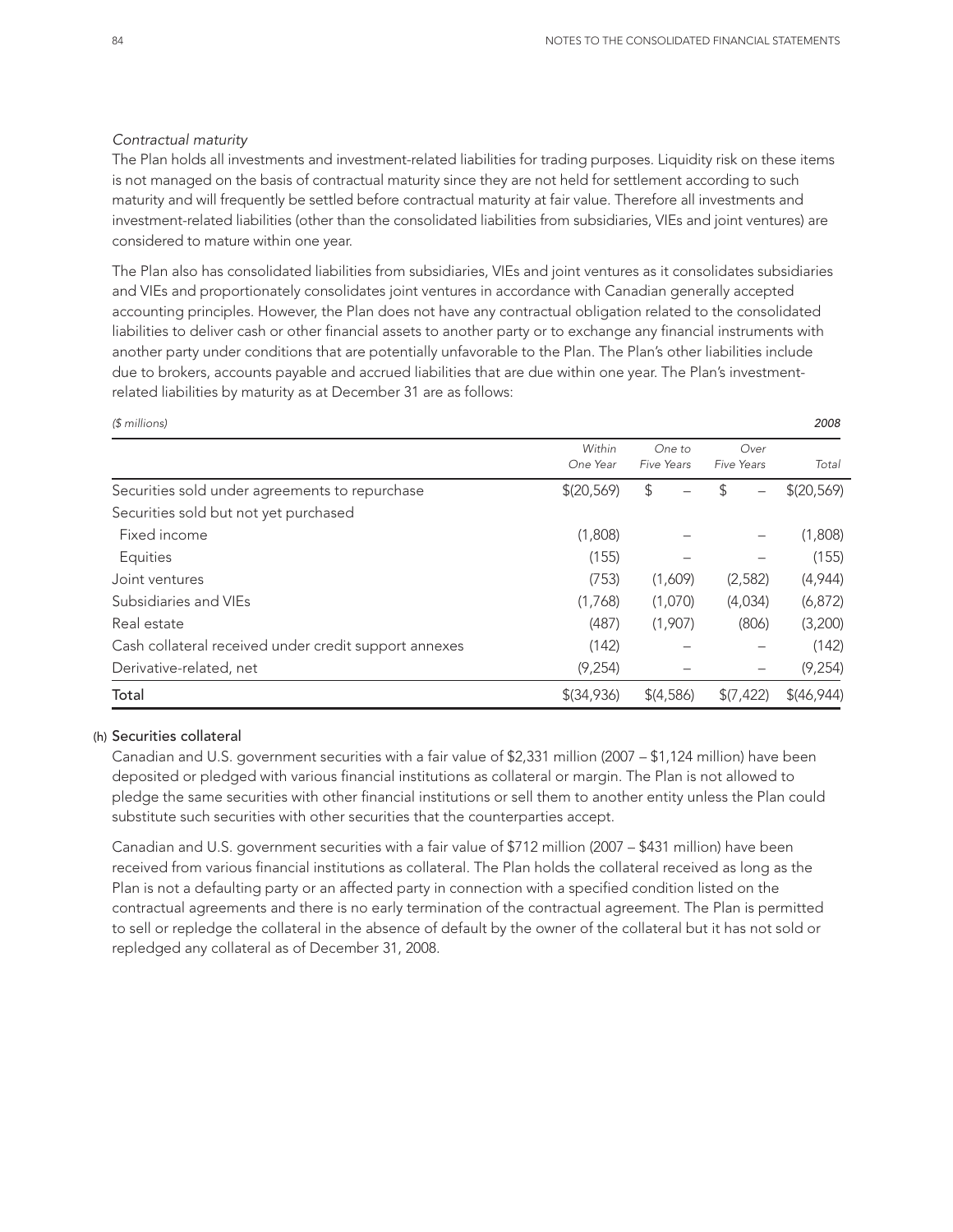#### *Contractual maturity*

The Plan holds all investments and investment-related liabilities for trading purposes. Liquidity risk on these items is not managed on the basis of contractual maturity since they are not held for settlement according to such maturity and will frequently be settled before contractual maturity at fair value. Therefore all investments and investment-related liabilities (other than the consolidated liabilities from subsidiaries, VIEs and joint ventures) are considered to mature within one year.

The Plan also has consolidated liabilities from subsidiaries, VIEs and joint ventures as it consolidates subsidiaries and VIEs and proportionately consolidates joint ventures in accordance with Canadian generally accepted accounting principles. However, the Plan does not have any contractual obligation related to the consolidated liabilities to deliver cash or other financial assets to another party or to exchange any financial instruments with another party under conditions that are potentially unfavorable to the Plan. The Plan's other liabilities include due to brokers, accounts payable and accrued liabilities that are due within one year. The Plan's investmentrelated liabilities by maturity as at December 31 are as follows:

| (\$ millions)                                         |                    |                      |                    | 2008        |
|-------------------------------------------------------|--------------------|----------------------|--------------------|-------------|
|                                                       | Within<br>One Year | One to<br>Five Years | Over<br>Five Years | Total       |
| Securities sold under agreements to repurchase        | \$(20,569)         | \$                   | \$                 | \$(20,569)  |
| Securities sold but not yet purchased                 |                    |                      |                    |             |
| Fixed income                                          | (1,808)            |                      |                    | (1,808)     |
| Equities                                              | (155)              |                      |                    | (155)       |
| Joint ventures                                        | (753)              | (1,609)              | (2, 582)           | (4,944)     |
| Subsidiaries and VIEs                                 | (1,768)            | (1,070)              | (4,034)            | (6, 872)    |
| Real estate                                           | (487)              | (1,907)              | (806)              | (3,200)     |
| Cash collateral received under credit support annexes | (142)              |                      |                    | (142)       |
| Derivative-related, net                               | (9,254)            |                      |                    | (9, 254)    |
| Total                                                 | $$$ (34,936)       | \$(4,586)            | (7, 422)           | \$(46, 944) |

## (h) Securities collateral

Canadian and U.S. government securities with a fair value of \$2,331 million (2007 – \$1,124 million) have been deposited or pledged with various financial institutions as collateral or margin. The Plan is not allowed to pledge the same securities with other financial institutions or sell them to another entity unless the Plan could substitute such securities with other securities that the counterparties accept.

Canadian and U.S. government securities with a fair value of \$712 million (2007 – \$431 million) have been received from various financial institutions as collateral. The Plan holds the collateral received as long as the Plan is not a defaulting party or an affected party in connection with a specified condition listed on the contractual agreements and there is no early termination of the contractual agreement. The Plan is permitted to sell or repledge the collateral in the absence of default by the owner of the collateral but it has not sold or repledged any collateral as of December 31, 2008.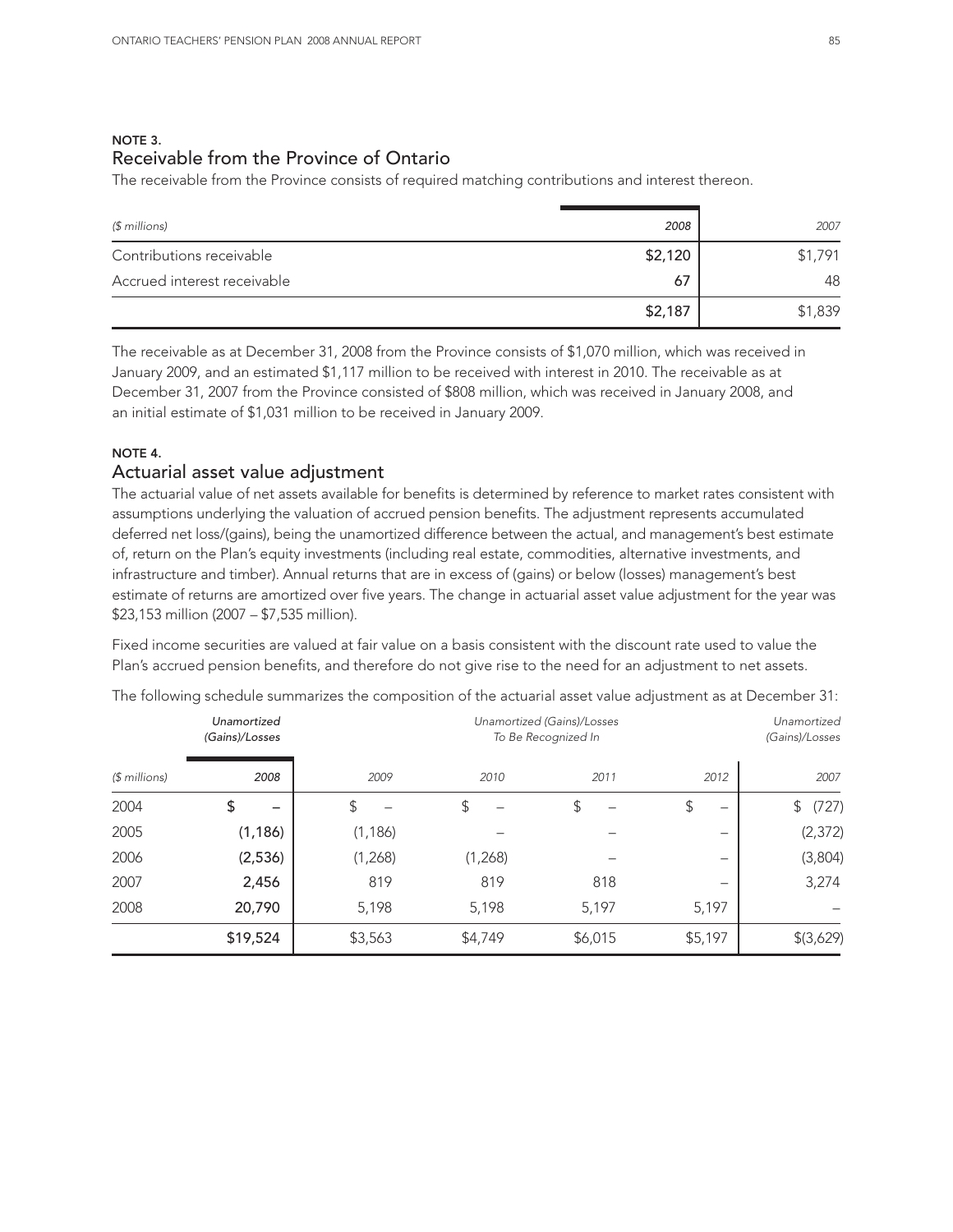## NOTE 3. Receivable from the Province of Ontario

The receivable from the Province consists of required matching contributions and interest thereon.

| $$$ millions)               | 2008    | 2007    |
|-----------------------------|---------|---------|
| Contributions receivable    | \$2,120 | \$1,791 |
| Accrued interest receivable | 67      | 48      |
|                             | \$2,187 | \$1,839 |

The receivable as at December 31, 2008 from the Province consists of \$1,070 million, which was received in January 2009, and an estimated \$1,117 million to be received with interest in 2010. The receivable as at December 31, 2007 from the Province consisted of \$808 million, which was received in January 2008, and an initial estimate of \$1,031 million to be received in January 2009.

## NOTE 4.

## Actuarial asset value adjustment

The actuarial value of net assets available for benefits is determined by reference to market rates consistent with assumptions underlying the valuation of accrued pension benefits. The adjustment represents accumulated deferred net loss/(gains), being the unamortized difference between the actual, and management's best estimate of, return on the Plan's equity investments (including real estate, commodities, alternative investments, and infrastructure and timber). Annual returns that are in excess of (gains) or below (losses) management's best estimate of returns are amortized over five years. The change in actuarial asset value adjustment for the year was \$23,153 million (2007 – \$7,535 million).

Fixed income securities are valued at fair value on a basis consistent with the discount rate used to value the Plan's accrued pension benefits, and therefore do not give rise to the need for an adjustment to net assets.

|               | Unamortized<br>(Gains)/Losses | Unamortized (Gains)/Losses<br>To Be Recognized In |         |         | Unamortized<br>(Gains)/Losses |             |
|---------------|-------------------------------|---------------------------------------------------|---------|---------|-------------------------------|-------------|
| $$$ millions) | 2008                          | 2009                                              | 2010    | 2011    | 2012                          | 2007        |
| 2004          | \$                            | \$                                                | \$      | \$      | \$<br>-                       | (727)<br>\$ |
| 2005          | (1, 186)                      | (1, 186)                                          |         |         | -                             | (2, 372)    |
| 2006          | (2,536)                       | (1,268)                                           | (1,268) |         | -                             | (3,804)     |
| 2007          | 2,456                         | 819                                               | 819     | 818     | $\overline{\phantom{0}}$      | 3,274       |
| 2008          | 20,790                        | 5,198                                             | 5,198   | 5,197   | 5,197                         |             |
|               | \$19,524                      | \$3,563                                           | \$4,749 | \$6,015 | \$5,197                       | \$(3,629)   |

The following schedule summarizes the composition of the actuarial asset value adjustment as at December 31: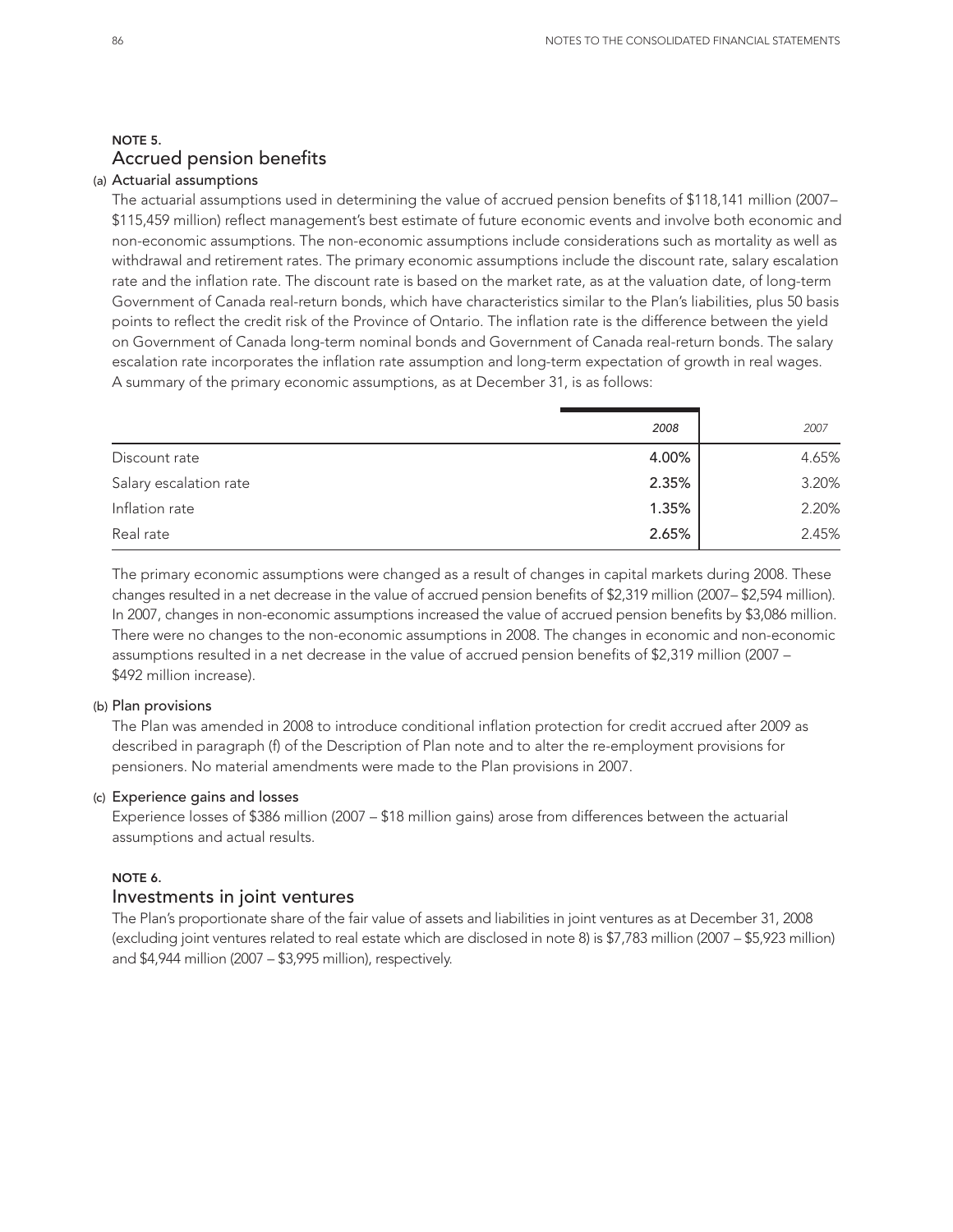## NOTE 5. Accrued pension benefits

#### (a) Actuarial assumptions

The actuarial assumptions used in determining the value of accrued pension benefits of \$118,141 million (2007– \$115,459 million) reflect management's best estimate of future economic events and involve both economic and non-economic assumptions. The non-economic assumptions include considerations such as mortality as well as withdrawal and retirement rates. The primary economic assumptions include the discount rate, salary escalation rate and the inflation rate. The discount rate is based on the market rate, as at the valuation date, of long-term Government of Canada real-return bonds, which have characteristics similar to the Plan's liabilities, plus 50 basis points to reflect the credit risk of the Province of Ontario. The inflation rate is the difference between the yield on Government of Canada long-term nominal bonds and Government of Canada real-return bonds. The salary escalation rate incorporates the inflation rate assumption and long-term expectation of growth in real wages. A summary of the primary economic assumptions, as at December 31, is as follows:

|                        | 2008  | 2007  |
|------------------------|-------|-------|
| Discount rate          | 4.00% | 4.65% |
| Salary escalation rate | 2.35% | 3.20% |
| Inflation rate         | 1.35% | 2.20% |
| Real rate              | 2.65% | 2.45% |

The primary economic assumptions were changed as a result of changes in capital markets during 2008. These changes resulted in a net decrease in the value of accrued pension benefits of \$2,319 million (2007– \$2,594 million). In 2007, changes in non-economic assumptions increased the value of accrued pension benefits by \$3,086 million. There were no changes to the non-economic assumptions in 2008. The changes in economic and non-economic assumptions resulted in a net decrease in the value of accrued pension benefits of \$2,319 million (2007 – \$492 million increase).

#### (b) Plan provisions

The Plan was amended in 2008 to introduce conditional inflation protection for credit accrued after 2009 as described in paragraph (f) of the Description of Plan note and to alter the re-employment provisions for pensioners. No material amendments were made to the Plan provisions in 2007.

#### (c) Experience gains and losses

Experience losses of \$386 million (2007 – \$18 million gains) arose from differences between the actuarial assumptions and actual results.

#### NOTE 6.

### Investments in joint ventures

The Plan's proportionate share of the fair value of assets and liabilities in joint ventures as at December 31, 2008 (excluding joint ventures related to real estate which are disclosed in note 8) is \$7,783 million (2007 – \$5,923 million) and \$4,944 million (2007 – \$3,995 million), respectively.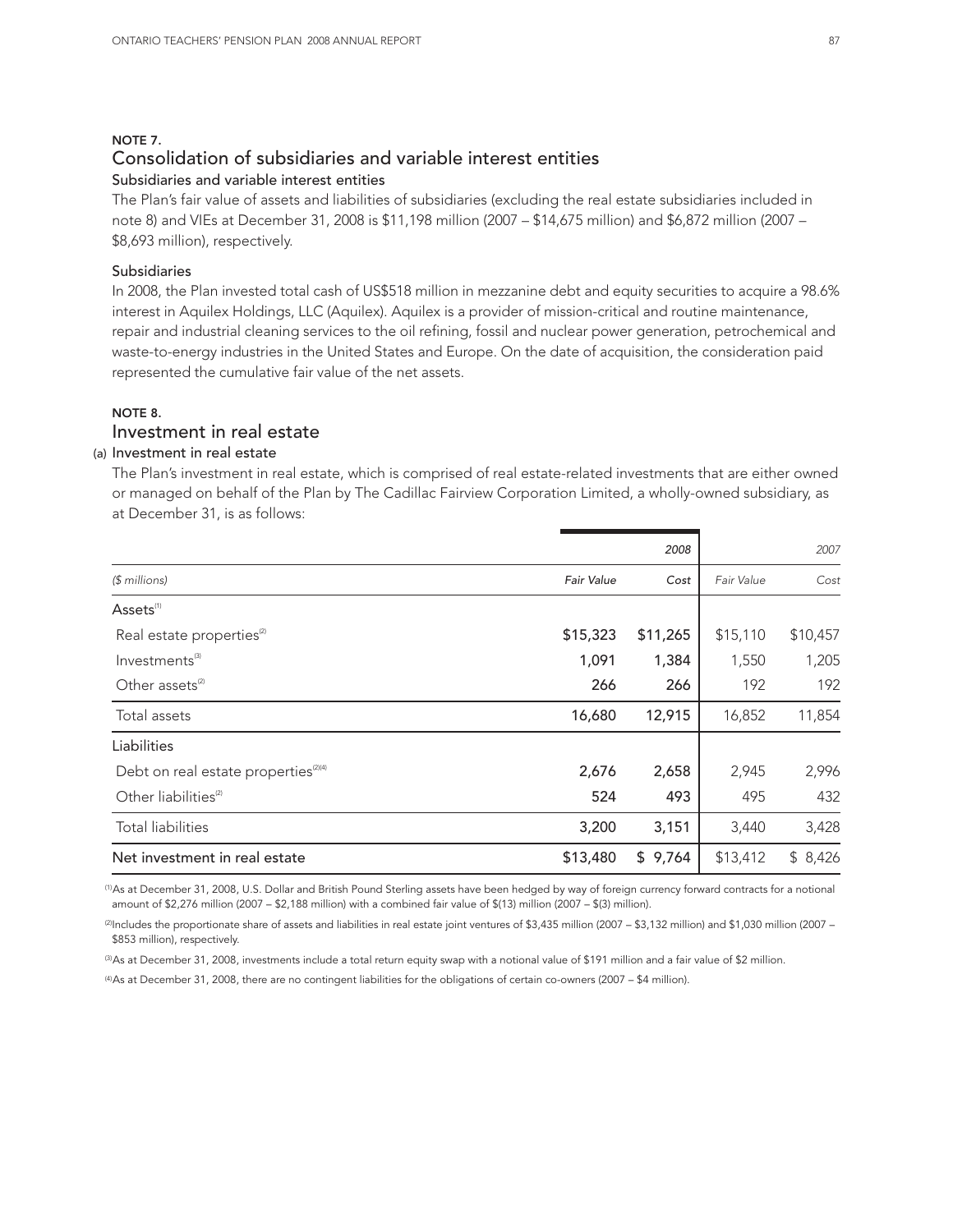#### NOTE 7.

## Consolidation of subsidiaries and variable interest entities

## Subsidiaries and variable interest entities

The Plan's fair value of assets and liabilities of subsidiaries (excluding the real estate subsidiaries included in note 8) and VIEs at December 31, 2008 is \$11,198 million (2007 – \$14,675 million) and \$6,872 million (2007 – \$8,693 million), respectively.

#### Subsidiaries

In 2008, the Plan invested total cash of US\$518 million in mezzanine debt and equity securities to acquire a 98.6% interest in Aquilex Holdings, LLC (Aquilex). Aquilex is a provider of mission-critical and routine maintenance, repair and industrial cleaning services to the oil refining, fossil and nuclear power generation, petrochemical and waste-to-energy industries in the United States and Europe. On the date of acquisition, the consideration paid represented the cumulative fair value of the net assets.

## NOTE 8.

## Investment in real estate

## (a) Investment in real estate

The Plan's investment in real estate, which is comprised of real estate-related investments that are either owned or managed on behalf of the Plan by The Cadillac Fairview Corporation Limited, a wholly-owned subsidiary, as at December 31, is as follows:

|                   | 2008     |            | 2007     |
|-------------------|----------|------------|----------|
| <b>Fair Value</b> | Cost     | Fair Value | Cost     |
|                   |          |            |          |
| \$15,323          | \$11,265 | \$15,110   | \$10,457 |
| 1,091             | 1,384    | 1,550      | 1,205    |
| 266               | 266      | 192        | 192      |
| 16,680            | 12,915   | 16,852     | 11,854   |
|                   |          |            |          |
| 2,676             | 2,658    | 2,945      | 2,996    |
| 524               | 493      | 495        | 432      |
| 3,200             | 3,151    | 3,440      | 3,428    |
| \$13,480          | \$9,764  | \$13,412   | \$8,426  |
|                   |          |            |          |

(1)As at December 31, 2008, U.S. Dollar and British Pound Sterling assets have been hedged by way of foreign currency forward contracts for a notional amount of \$2,276 million (2007 – \$2,188 million) with a combined fair value of \$(13) million (2007 – \$(3) million).

(2)Includes the proportionate share of assets and liabilities in real estate joint ventures of \$3,435 million (2007 – \$3,132 million) and \$1,030 million (2007 – \$853 million), respectively.

(3)As at December 31, 2008, investments include a total return equity swap with a notional value of \$191 million and a fair value of \$2 million.

(4)As at December 31, 2008, there are no contingent liabilities for the obligations of certain co-owners (2007 – \$4 million).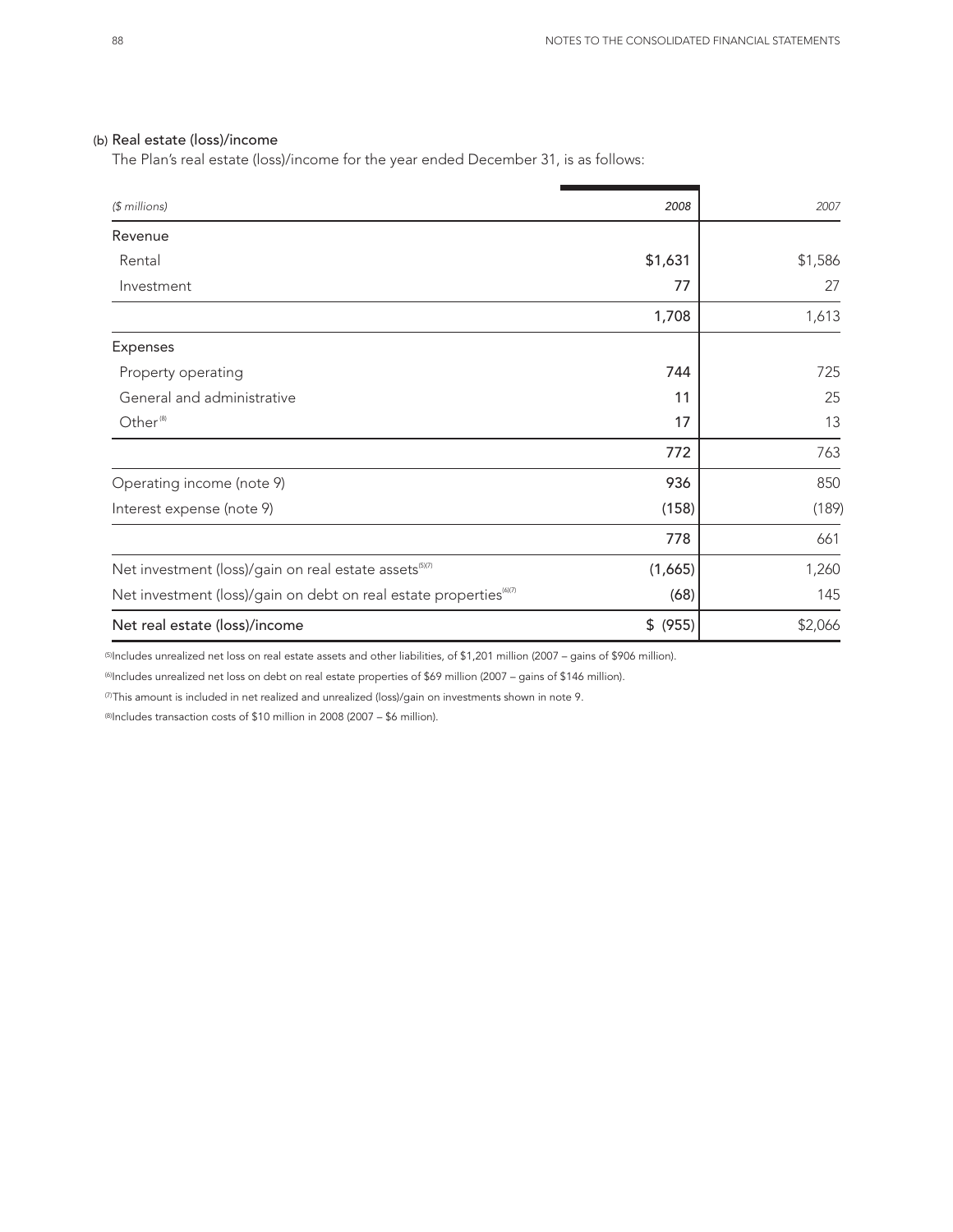#### (b) Real estate (loss)/income

The Plan's real estate (loss)/income for the year ended December 31, is as follows:

| $$$ millions)                                                                  | 2008        | 2007    |
|--------------------------------------------------------------------------------|-------------|---------|
| Revenue                                                                        |             |         |
| Rental                                                                         | \$1,631     | \$1,586 |
| Investment                                                                     | 77          | 27      |
|                                                                                | 1,708       | 1,613   |
| <b>Expenses</b>                                                                |             |         |
| Property operating                                                             | 744         | 725     |
| General and administrative                                                     | 11          | 25      |
| Other <sup>(8)</sup>                                                           | 17          | 13      |
|                                                                                | 772         | 763     |
| Operating income (note 9)                                                      | 936         | 850     |
| Interest expense (note 9)                                                      | (158)       | (189)   |
|                                                                                | 778         | 661     |
| Net investment (loss)/gain on real estate assets <sup>(5)(7)</sup>             | (1,665)     | 1,260   |
| Net investment (loss)/gain on debt on real estate properties <sup>(6)(7)</sup> | (68)        | 145     |
| Net real estate (loss)/income                                                  | \$<br>(955) | \$2,066 |

(5)Includes unrealized net loss on real estate assets and other liabilities, of \$1,201 million (2007 – gains of \$906 million).

(6)Includes unrealized net loss on debt on real estate properties of \$69 million (2007 – gains of \$146 million).

(7)This amount is included in net realized and unrealized (loss)/gain on investments shown in note 9.

(8)Includes transaction costs of \$10 million in 2008 (2007 – \$6 million).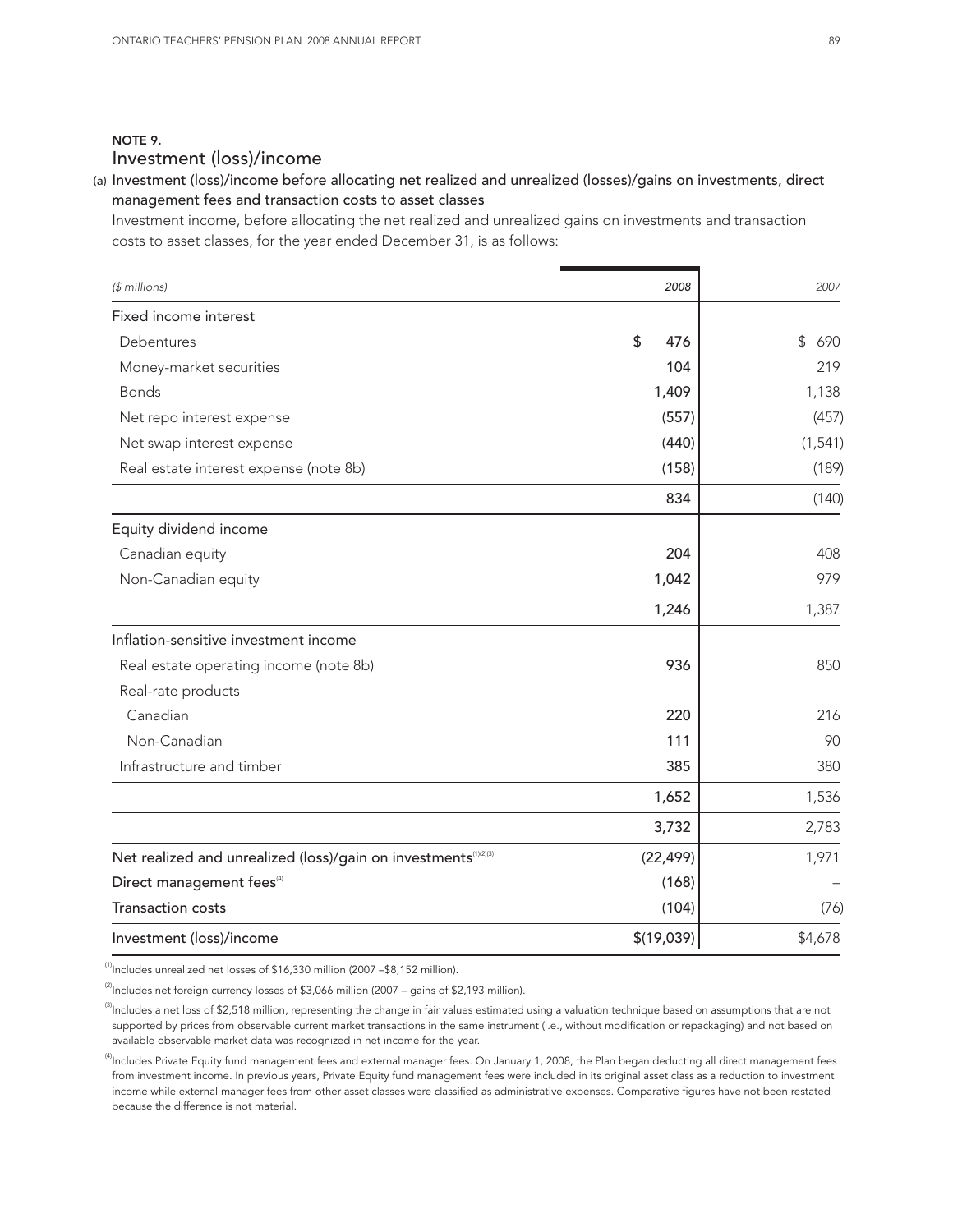## NOTE 9. Investment (loss)/income

## (a) Investment (loss)/income before allocating net realized and unrealized (losses)/gains on investments, direct management fees and transaction costs to asset classes

Investment income, before allocating the net realized and unrealized gains on investments and transaction costs to asset classes, for the year ended December 31, is as follows:

| (\$ millions)                                                               | 2008       | 2007      |
|-----------------------------------------------------------------------------|------------|-----------|
| Fixed income interest                                                       |            |           |
| Debentures                                                                  | \$<br>476  | \$<br>690 |
| Money-market securities                                                     | 104        | 219       |
| <b>Bonds</b>                                                                | 1,409      | 1,138     |
| Net repo interest expense                                                   | (557)      | (457)     |
| Net swap interest expense                                                   | (440)      | (1, 541)  |
| Real estate interest expense (note 8b)                                      | (158)      | (189)     |
|                                                                             | 834        | (140)     |
| Equity dividend income                                                      |            |           |
| Canadian equity                                                             | 204        | 408       |
| Non-Canadian equity                                                         | 1,042      | 979       |
|                                                                             | 1,246      | 1,387     |
| Inflation-sensitive investment income                                       |            |           |
| Real estate operating income (note 8b)                                      | 936        | 850       |
| Real-rate products                                                          |            |           |
| Canadian                                                                    | 220        | 216       |
| Non-Canadian                                                                | 111        | 90        |
| Infrastructure and timber                                                   | 385        | 380       |
|                                                                             | 1,652      | 1,536     |
|                                                                             | 3,732      | 2,783     |
| Net realized and unrealized (loss)/gain on investments <sup>(1)(2)(3)</sup> | (22, 499)  | 1,971     |
| Direct management fees <sup>(4)</sup>                                       | (168)      |           |
| <b>Transaction costs</b>                                                    | (104)      | (76)      |
| Investment (loss)/income                                                    | \$(19,039) | \$4,678   |

 $<sup>(1)</sup>$ Includes unrealized net losses of \$16,330 million (2007 –\$8,152 million).</sup>

 $^{(2)}$ Includes net foreign currency losses of \$3,066 million (2007 – gains of \$2,193 million).

 $\overset{\scriptscriptstyle(3)}{\scriptstyle\rm II}$ ncludes a net loss of \$2,518 million, representing the change in fair values estimated using a valuation technique based on assumptions that are not supported by prices from observable current market transactions in the same instrument (i.e., without modification or repackaging) and not based on available observable market data was recognized in net income for the year.

 $^{(4)}$ Includes Private Equity fund management fees and external manager fees. On January 1, 2008, the Plan began deducting all direct management fees from investment income. In previous years, Private Equity fund management fees were included in its original asset class as a reduction to investment income while external manager fees from other asset classes were classified as administrative expenses. Comparative figures have not been restated because the difference is not material.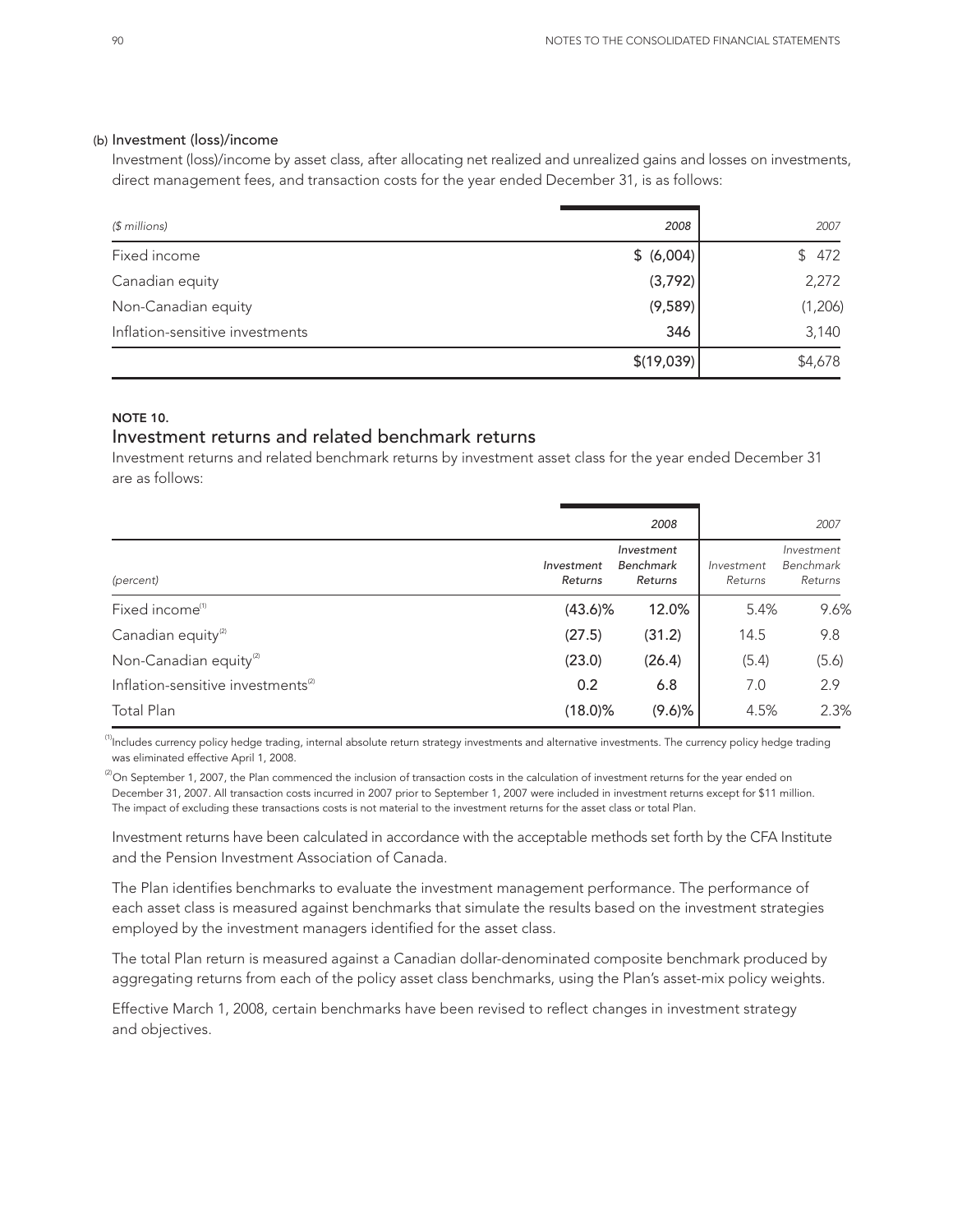#### (b) Investment (loss)/income

Investment (loss)/income by asset class, after allocating net realized and unrealized gains and losses on investments, direct management fees, and transaction costs for the year ended December 31, is as follows:

| $$$ millions)                   | 2008       | 2007    |
|---------------------------------|------------|---------|
| Fixed income                    | \$ (6,004) | \$472   |
| Canadian equity                 | (3,792)    | 2,272   |
| Non-Canadian equity             | (9,589)    | (1,206) |
| Inflation-sensitive investments | 346        | 3,140   |
|                                 | \$(19,039) | \$4,678 |

### NOTE 10.

## Investment returns and related benchmark returns

Investment returns and related benchmark returns by investment asset class for the year ended December 31 are as follows:

|                                                |                       | 2008                               |                       | 2007                               |
|------------------------------------------------|-----------------------|------------------------------------|-----------------------|------------------------------------|
| (percent)                                      | Investment<br>Returns | Investment<br>Benchmark<br>Returns | Investment<br>Returns | Investment<br>Benchmark<br>Returns |
| Fixed income <sup>(1)</sup>                    | $(43.6)\%$            | 12.0%                              | 5.4%                  | 9.6%                               |
| Canadian equity <sup>(2)</sup>                 | (27.5)                | (31.2)                             | 14.5                  | 9.8                                |
| Non-Canadian equity <sup>(2)</sup>             | (23.0)                | (26.4)                             | (5.4)                 | (5.6)                              |
| Inflation-sensitive investments <sup>(2)</sup> | 0.2                   | 6.8                                | 7.0                   | 2.9                                |
| Total Plan                                     | $(18.0)\%$            | $(9.6)$ %                          | 4.5%                  | 2.3%                               |

 $^{\text{\tiny{(1)}}}$ Includes currency policy hedge trading, internal absolute return strategy investments and alternative investments. The currency policy hedge trading was eliminated effective April 1, 2008.

 $^{(2)}$ On September 1, 2007, the Plan commenced the inclusion of transaction costs in the calculation of investment returns for the year ended on December 31, 2007. All transaction costs incurred in 2007 prior to September 1, 2007 were included in investment returns except for \$11 million. The impact of excluding these transactions costs is not material to the investment returns for the asset class or total Plan.

Investment returns have been calculated in accordance with the acceptable methods set forth by the CFA Institute and the Pension Investment Association of Canada.

The Plan identifies benchmarks to evaluate the investment management performance. The performance of each asset class is measured against benchmarks that simulate the results based on the investment strategies employed by the investment managers identified for the asset class.

The total Plan return is measured against a Canadian dollar-denominated composite benchmark produced by aggregating returns from each of the policy asset class benchmarks, using the Plan's asset-mix policy weights.

Effective March 1, 2008, certain benchmarks have been revised to reflect changes in investment strategy and objectives.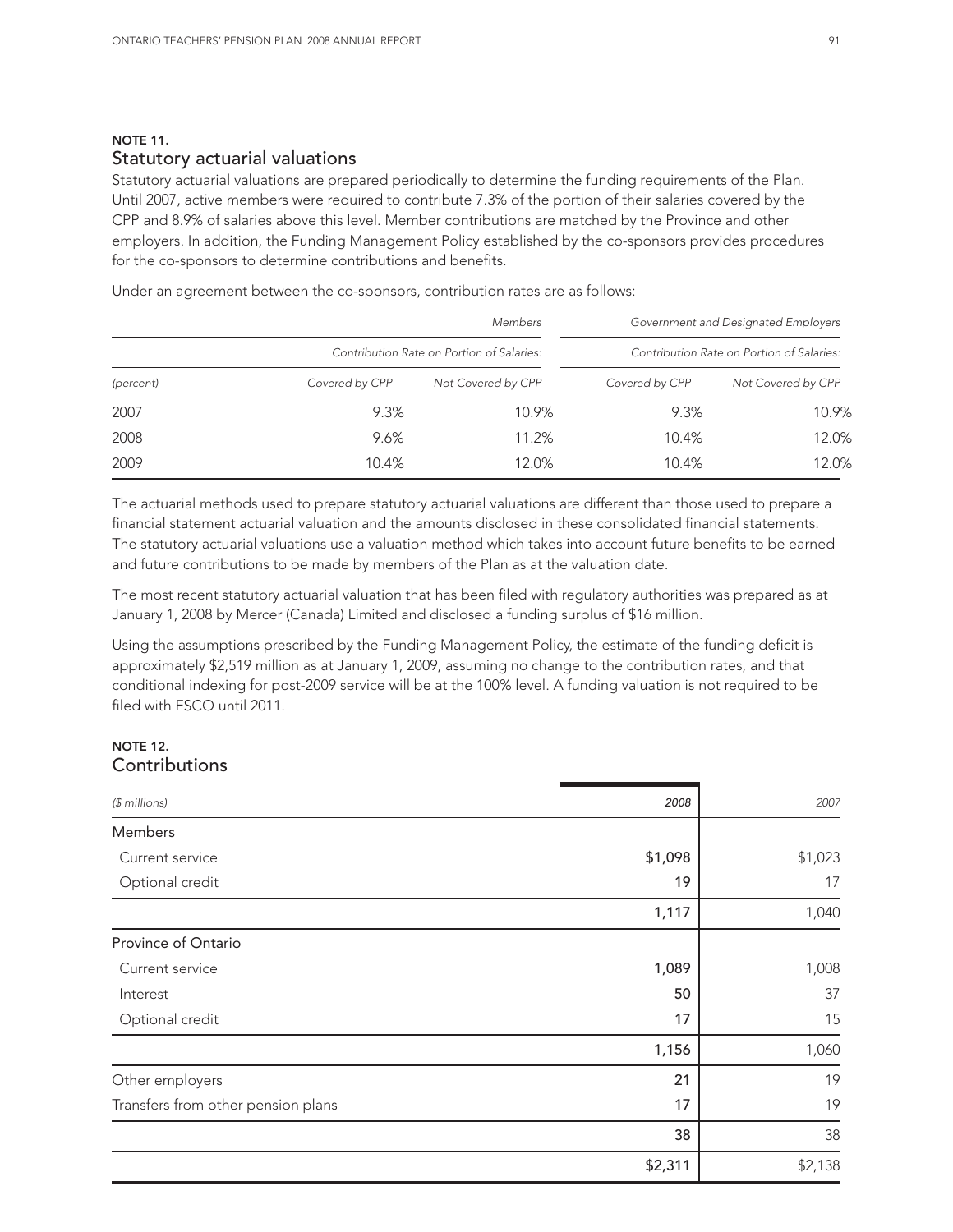### NOTE 11. Statutory actuarial valuations

Statutory actuarial valuations are prepared periodically to determine the funding requirements of the Plan. Until 2007, active members were required to contribute 7.3% of the portion of their salaries covered by the CPP and 8.9% of salaries above this level. Member contributions are matched by the Province and other employers. In addition, the Funding Management Policy established by the co-sponsors provides procedures for the co-sponsors to determine contributions and benefits.

Under an agreement between the co-sponsors, contribution rates are as follows:

|                                           |                | <b>Members</b>     |                | Government and Designated Employers       |
|-------------------------------------------|----------------|--------------------|----------------|-------------------------------------------|
| Contribution Rate on Portion of Salaries: |                |                    |                | Contribution Rate on Portion of Salaries: |
| (percent)                                 | Covered by CPP | Not Covered by CPP | Covered by CPP | Not Covered by CPP                        |
| 2007                                      | 9.3%           | 10.9%              | 9.3%           | 10.9%                                     |
| 2008                                      | 9.6%           | 11.2%              | 10.4%          | 12.0%                                     |
| 2009                                      | 10.4%          | 12.0%              | 10.4%          | 12.0%                                     |

The actuarial methods used to prepare statutory actuarial valuations are different than those used to prepare a financial statement actuarial valuation and the amounts disclosed in these consolidated financial statements. The statutory actuarial valuations use a valuation method which takes into account future benefits to be earned and future contributions to be made by members of the Plan as at the valuation date.

The most recent statutory actuarial valuation that has been filed with regulatory authorities was prepared as at January 1, 2008 by Mercer (Canada) Limited and disclosed a funding surplus of \$16 million.

Using the assumptions prescribed by the Funding Management Policy, the estimate of the funding deficit is approximately \$2,519 million as at January 1, 2009, assuming no change to the contribution rates, and that conditional indexing for post-2009 service will be at the 100% level. A funding valuation is not required to be filed with FSCO until 2011.

## NOTE 12. **Contributions**

| $$$ millions)                      | 2008    | 2007    |
|------------------------------------|---------|---------|
| Members                            |         |         |
| Current service                    | \$1,098 | \$1,023 |
| Optional credit                    | 19      | 17      |
|                                    | 1,117   | 1,040   |
| Province of Ontario                |         |         |
| Current service                    | 1,089   | 1,008   |
| Interest                           | 50      | 37      |
| Optional credit                    | 17      | 15      |
|                                    | 1,156   | 1,060   |
| Other employers                    | 21      | 19      |
| Transfers from other pension plans | 17      | 19      |
|                                    | 38      | 38      |
|                                    | \$2,311 | \$2,138 |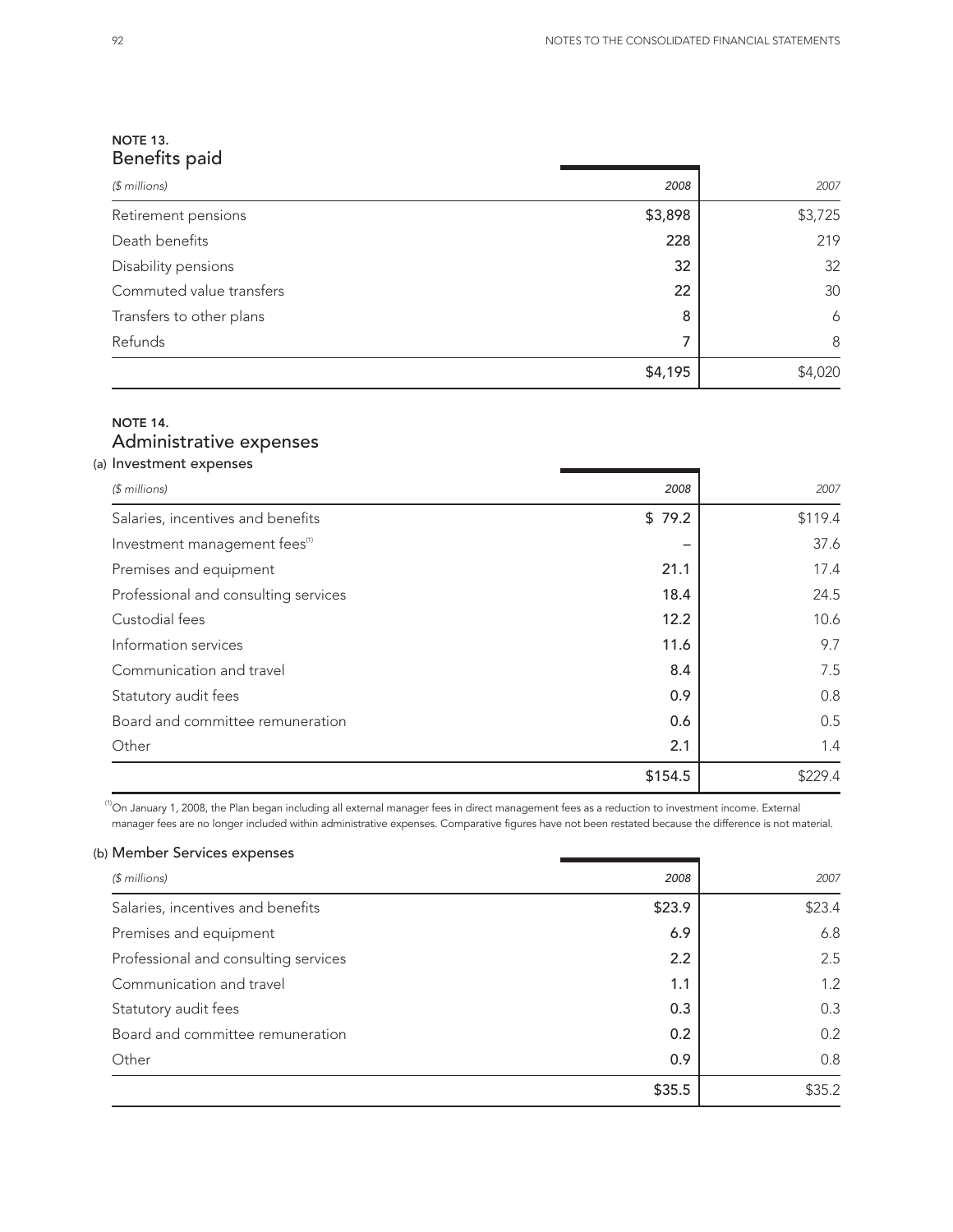\$35.2

## NOTE 13. Benefits paid

| $$$ millions)            | 2008    | 2007    |
|--------------------------|---------|---------|
| Retirement pensions      | \$3,898 | \$3,725 |
| Death benefits           | 228     | 219     |
| Disability pensions      | 32      | 32      |
| Commuted value transfers | 22      | 30      |
| Transfers to other plans | 8       | 6       |
| Refunds                  | 7       | 8       |
|                          | \$4,195 | \$4,020 |

## NOTE 14. Administrative expenses

## (a) Investment expenses *(\$ millions) 2008 2007* Salaries, incentives and benefits  $$ 79.2$  \$119.4 Investment management fees<sup>(1)</sup>  $-$  37.6 Premises and equipment 21.1 21.1 21.1 Professional and consulting services 18.4 24.5 Custodial fees 12.2 10.6 Information services 2.7  $\sim$  9.7  $\sim$  9.7 Communication and travel **8.4** 8.4 7.5 Statutory audit fees 0.8 Board and committee remuneration and the set of the control of the control of the control of the control of the control of the control of the control of the control of the control of the control of the control of the contr Other 2.1 1.4  $$154.5$   $$229.4$

<sup>(1)</sup>On January 1, 2008, the Plan began including all external manager fees in direct management fees as a reduction to investment income. External management fees as a reduction to investment income. External manager fee manager fees are no longer included within administrative expenses. Comparative figures have not been restated because the difference is not material.

| manager fees are no longer included within administrative expenses. Comparative figures have not been restated because the difference is not material. |        |        |
|--------------------------------------------------------------------------------------------------------------------------------------------------------|--------|--------|
| Member Services expenses                                                                                                                               |        |        |
| $$$ millions)                                                                                                                                          | 2008   | 2007   |
| Salaries, incentives and benefits                                                                                                                      | \$23.9 | \$23.4 |
| Premises and equipment                                                                                                                                 | 6.9    | 6.8    |
| Professional and consulting services                                                                                                                   | 2.2    | 2.5    |
| Communication and travel                                                                                                                               | 1.1    | 1.2    |
| Statutory audit fees                                                                                                                                   | 0.3    | 0.3    |
| Board and committee remuneration                                                                                                                       | 0.2    | 0.2    |
| Other                                                                                                                                                  | 0.9    | 0.8    |
|                                                                                                                                                        | \$35.5 | \$35.2 |
|                                                                                                                                                        |        |        |

### (b) Member Services expenses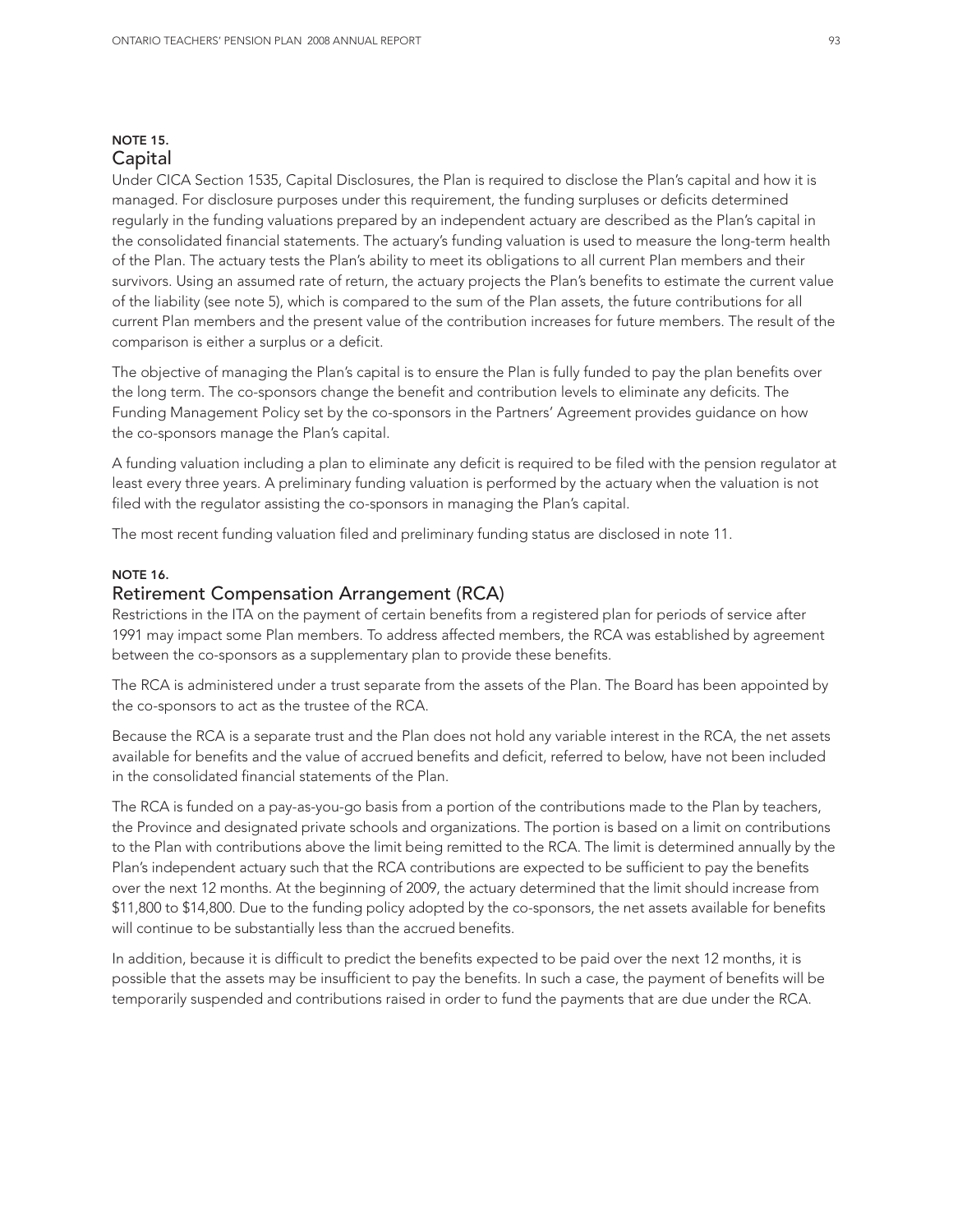#### NOTE 15. Capital

Under CICA Section 1535, Capital Disclosures, the Plan is required to disclose the Plan's capital and how it is managed. For disclosure purposes under this requirement, the funding surpluses or deficits determined regularly in the funding valuations prepared by an independent actuary are described as the Plan's capital in the consolidated financial statements. The actuary's funding valuation is used to measure the long-term health of the Plan. The actuary tests the Plan's ability to meet its obligations to all current Plan members and their survivors. Using an assumed rate of return, the actuary projects the Plan's benefits to estimate the current value of the liability (see note 5), which is compared to the sum of the Plan assets, the future contributions for all current Plan members and the present value of the contribution increases for future members. The result of the comparison is either a surplus or a deficit.

The objective of managing the Plan's capital is to ensure the Plan is fully funded to pay the plan benefits over the long term. The co-sponsors change the benefit and contribution levels to eliminate any deficits. The Funding Management Policy set by the co-sponsors in the Partners' Agreement provides guidance on how the co-sponsors manage the Plan's capital.

A funding valuation including a plan to eliminate any deficit is required to be filed with the pension regulator at least every three years. A preliminary funding valuation is performed by the actuary when the valuation is not filed with the regulator assisting the co-sponsors in managing the Plan's capital.

The most recent funding valuation filed and preliminary funding status are disclosed in note 11.

#### NOTE 16.

### Retirement Compensation Arrangement (RCA)

Restrictions in the ITA on the payment of certain benefits from a registered plan for periods of service after 1991 may impact some Plan members. To address affected members, the RCA was established by agreement between the co-sponsors as a supplementary plan to provide these benefits.

The RCA is administered under a trust separate from the assets of the Plan. The Board has been appointed by the co-sponsors to act as the trustee of the RCA.

Because the RCA is a separate trust and the Plan does not hold any variable interest in the RCA, the net assets available for benefits and the value of accrued benefits and deficit, referred to below, have not been included in the consolidated financial statements of the Plan.

The RCA is funded on a pay-as-you-go basis from a portion of the contributions made to the Plan by teachers, the Province and designated private schools and organizations. The portion is based on a limit on contributions to the Plan with contributions above the limit being remitted to the RCA. The limit is determined annually by the Plan's independent actuary such that the RCA contributions are expected to be sufficient to pay the benefits over the next 12 months. At the beginning of 2009, the actuary determined that the limit should increase from \$11,800 to \$14,800. Due to the funding policy adopted by the co-sponsors, the net assets available for benefits will continue to be substantially less than the accrued benefits.

In addition, because it is difficult to predict the benefits expected to be paid over the next 12 months, it is possible that the assets may be insufficient to pay the benefits. In such a case, the payment of benefits will be temporarily suspended and contributions raised in order to fund the payments that are due under the RCA.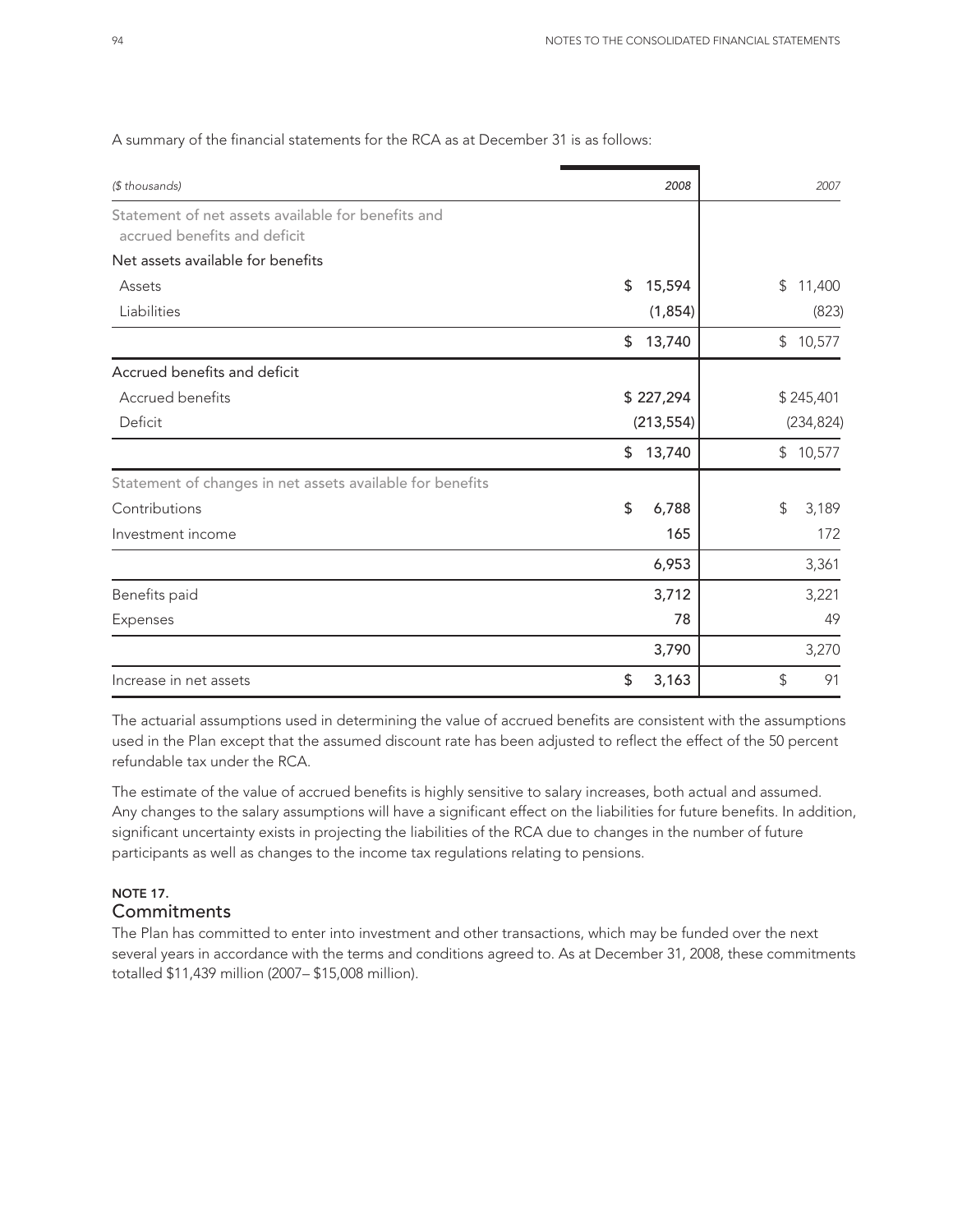| (\$ thousands)                                            | 2008         | 2007                    |
|-----------------------------------------------------------|--------------|-------------------------|
| Statement of net assets available for benefits and        |              |                         |
| accrued benefits and deficit                              |              |                         |
| Net assets available for benefits                         |              |                         |
| Assets                                                    | \$<br>15,594 | \$<br>11,400            |
| Liabilities                                               | (1, 854)     | (823)                   |
|                                                           | 13,740<br>\$ | 10,577<br>$\frac{1}{2}$ |
| Accrued benefits and deficit                              |              |                         |
| Accrued benefits                                          | \$227,294    | \$245,401               |
| Deficit                                                   | (213, 554)   | (234, 824)              |
|                                                           | 13,740<br>\$ | \$10,577                |
| Statement of changes in net assets available for benefits |              |                         |
| Contributions                                             | \$<br>6,788  | $\frac{1}{2}$<br>3,189  |
| Investment income                                         | 165          | 172                     |
|                                                           | 6,953        | 3,361                   |
| Benefits paid                                             | 3,712        | 3,221                   |
| Expenses                                                  | 78           | 49                      |
|                                                           | 3,790        | 3,270                   |
| Increase in net assets                                    | 3,163<br>\$  | \$<br>91                |

## A summary of the financial statements for the RCA as at December 31 is as follows:

The actuarial assumptions used in determining the value of accrued benefits are consistent with the assumptions used in the Plan except that the assumed discount rate has been adjusted to reflect the effect of the 50 percent refundable tax under the RCA.

The estimate of the value of accrued benefits is highly sensitive to salary increases, both actual and assumed. Any changes to the salary assumptions will have a significant effect on the liabilities for future benefits. In addition, significant uncertainty exists in projecting the liabilities of the RCA due to changes in the number of future participants as well as changes to the income tax regulations relating to pensions.

## NOTE 17. **Commitments**

The Plan has committed to enter into investment and other transactions, which may be funded over the next several years in accordance with the terms and conditions agreed to. As at December 31, 2008, these commitments totalled \$11,439 million (2007– \$15,008 million).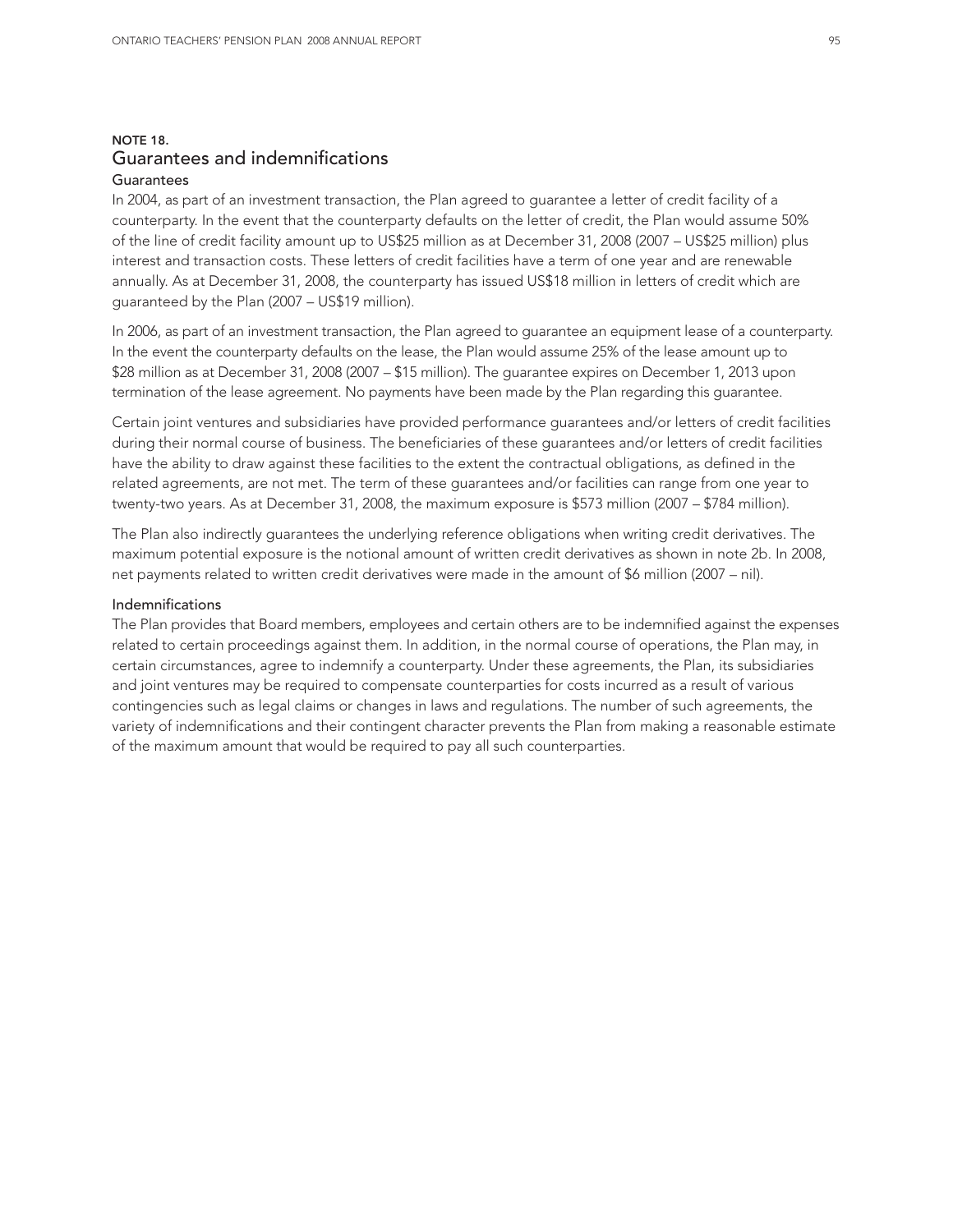## NOTE 18. Guarantees and indemnifications

## **Guarantees**

In 2004, as part of an investment transaction, the Plan agreed to guarantee a letter of credit facility of a counterparty. In the event that the counterparty defaults on the letter of credit, the Plan would assume 50% of the line of credit facility amount up to US\$25 million as at December 31, 2008 (2007 – US\$25 million) plus interest and transaction costs. These letters of credit facilities have a term of one year and are renewable annually. As at December 31, 2008, the counterparty has issued US\$18 million in letters of credit which are guaranteed by the Plan (2007 – US\$19 million).

In 2006, as part of an investment transaction, the Plan agreed to guarantee an equipment lease of a counterparty. In the event the counterparty defaults on the lease, the Plan would assume 25% of the lease amount up to \$28 million as at December 31, 2008 (2007 – \$15 million). The guarantee expires on December 1, 2013 upon termination of the lease agreement. No payments have been made by the Plan regarding this guarantee.

Certain joint ventures and subsidiaries have provided performance guarantees and/or letters of credit facilities during their normal course of business. The beneficiaries of these guarantees and/or letters of credit facilities have the ability to draw against these facilities to the extent the contractual obligations, as defined in the related agreements, are not met. The term of these guarantees and/or facilities can range from one year to twenty-two years. As at December 31, 2008, the maximum exposure is \$573 million (2007 – \$784 million).

The Plan also indirectly guarantees the underlying reference obligations when writing credit derivatives. The maximum potential exposure is the notional amount of written credit derivatives as shown in note 2b. In 2008, net payments related to written credit derivatives were made in the amount of \$6 million (2007 – nil).

#### Indemnifications

The Plan provides that Board members, employees and certain others are to be indemnified against the expenses related to certain proceedings against them. In addition, in the normal course of operations, the Plan may, in certain circumstances, agree to indemnify a counterparty. Under these agreements, the Plan, its subsidiaries and joint ventures may be required to compensate counterparties for costs incurred as a result of various contingencies such as legal claims or changes in laws and regulations. The number of such agreements, the variety of indemnifications and their contingent character prevents the Plan from making a reasonable estimate of the maximum amount that would be required to pay all such counterparties.